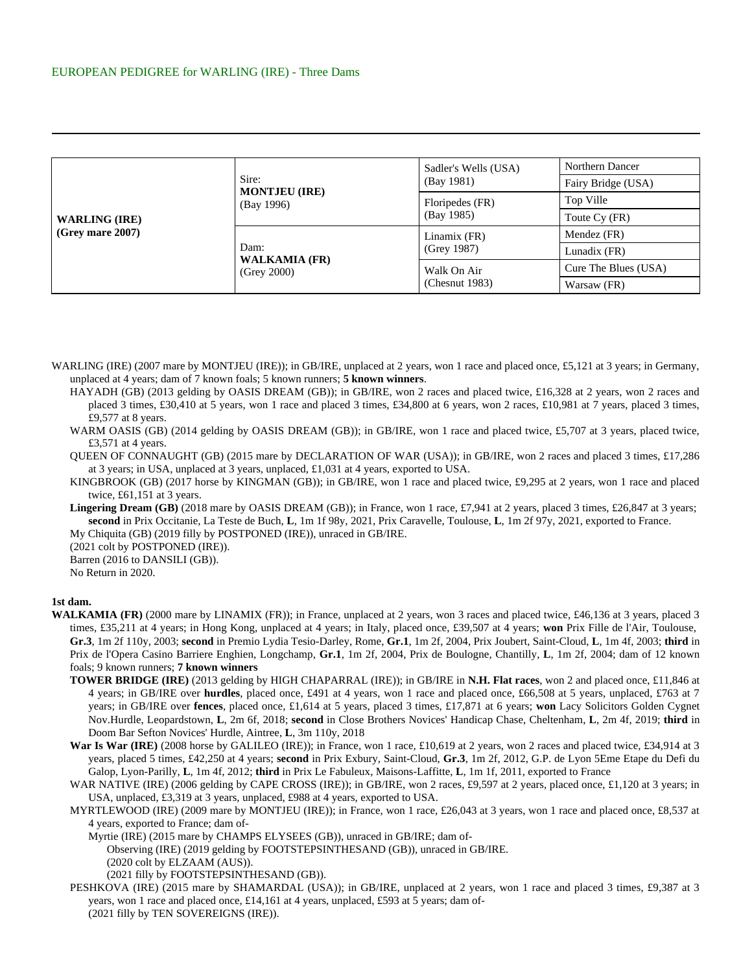| <b>WARLING (IRE)</b><br>$\sim$ (Grey mare 2007) |                                             | Sadler's Wells (USA)          | Northern Dancer      |
|-------------------------------------------------|---------------------------------------------|-------------------------------|----------------------|
|                                                 | Sire:<br><b>MONTJEU (IRE)</b>               | (Bay 1981)                    | Fairy Bridge (USA)   |
|                                                 | (Bay 1996)                                  | Floripedes (FR)<br>(Bay 1985) | Top Ville            |
|                                                 |                                             |                               | Toute Cy (FR)        |
|                                                 | Dam:<br><b>WALKAMIA (FR)</b><br>(Grey 2000) | Linamix (FR)<br>(Grey 1987)   | Mendez (FR)          |
|                                                 |                                             |                               | Lunadix (FR)         |
|                                                 |                                             | Walk On Air<br>(Chemut 1983)  | Cure The Blues (USA) |
|                                                 |                                             |                               | Warsaw (FR)          |

- WARLING (IRE) (2007 mare by MONTJEU (IRE)); in GB/IRE, unplaced at 2 years, won 1 race and placed once, £5,121 at 3 years; in Germany, unplaced at 4 years; dam of 7 known foals; 5 known runners; **5 known winners**.
	- HAYADH (GB) (2013 gelding by OASIS DREAM (GB)); in GB/IRE, won 2 races and placed twice, £16,328 at 2 years, won 2 races and placed 3 times, £30,410 at 5 years, won 1 race and placed 3 times, £34,800 at 6 years, won 2 races, £10,981 at 7 years, placed 3 times, £9,577 at 8 years.
	- WARM OASIS (GB) (2014 gelding by OASIS DREAM (GB)); in GB/IRE, won 1 race and placed twice, £5,707 at 3 years, placed twice, £3,571 at 4 years.
	- QUEEN OF CONNAUGHT (GB) (2015 mare by DECLARATION OF WAR (USA)); in GB/IRE, won 2 races and placed 3 times, £17,286 at 3 years; in USA, unplaced at 3 years, unplaced, £1,031 at 4 years, exported to USA.
	- KINGBROOK (GB) (2017 horse by KINGMAN (GB)); in GB/IRE, won 1 race and placed twice, £9,295 at 2 years, won 1 race and placed twice, £61,151 at 3 years.
	- Lingering Dream (GB) (2018 mare by OASIS DREAM (GB)); in France, won 1 race, £7,941 at 2 years, placed 3 times, £26,847 at 3 years; **second** in Prix Occitanie, La Teste de Buch, **L**, 1m 1f 98y, 2021, Prix Caravelle, Toulouse, **L**, 1m 2f 97y, 2021, exported to France. My Chiquita (GB) (2019 filly by POSTPONED (IRE)), unraced in GB/IRE.

(2021 colt by POSTPONED (IRE)).

Barren (2016 to DANSILI (GB)).

No Return in 2020.

## **1st dam.**

- WALKAMIA (FR) (2000 mare by LINAMIX (FR)); in France, unplaced at 2 years, won 3 races and placed twice, £46,136 at 3 years, placed 3 times, £35,211 at 4 years; in Hong Kong, unplaced at 4 years; in Italy, placed once, £39,507 at 4 years; **won** Prix Fille de l'Air, Toulouse, **Gr.3**, 1m 2f 110y, 2003; **second** in Premio Lydia Tesio-Darley, Rome, **Gr.1**, 1m 2f, 2004, Prix Joubert, Saint-Cloud, **L**, 1m 4f, 2003; **third** in Prix de l'Opera Casino Barriere Enghien, Longchamp, **Gr.1**, 1m 2f, 2004, Prix de Boulogne, Chantilly, **L**, 1m 2f, 2004; dam of 12 known foals; 9 known runners; **7 known winners**
	- **TOWER BRIDGE (IRE)** (2013 gelding by HIGH CHAPARRAL (IRE)); in GB/IRE in **N.H. Flat races**, won 2 and placed once, £11,846 at 4 years; in GB/IRE over **hurdles**, placed once, £491 at 4 years, won 1 race and placed once, £66,508 at 5 years, unplaced, £763 at 7 years; in GB/IRE over **fences**, placed once, £1,614 at 5 years, placed 3 times, £17,871 at 6 years; **won** Lacy Solicitors Golden Cygnet Nov.Hurdle, Leopardstown, **L**, 2m 6f, 2018; **second** in Close Brothers Novices' Handicap Chase, Cheltenham, **L**, 2m 4f, 2019; **third** in Doom Bar Sefton Novices' Hurdle, Aintree, **L**, 3m 110y, 2018
	- War Is War (IRE) (2008 horse by GALILEO (IRE)); in France, won 1 race, £10,619 at 2 years, won 2 races and placed twice, £34,914 at 3 years, placed 5 times, £42,250 at 4 years; **second** in Prix Exbury, Saint-Cloud, **Gr.3**, 1m 2f, 2012, G.P. de Lyon 5Eme Etape du Defi du Galop, Lyon-Parilly, **L**, 1m 4f, 2012; **third** in Prix Le Fabuleux, Maisons-Laffitte, **L**, 1m 1f, 2011, exported to France
	- WAR NATIVE (IRE) (2006 gelding by CAPE CROSS (IRE)); in GB/IRE, won 2 races, £9,597 at 2 years, placed once, £1,120 at 3 years; in USA, unplaced, £3,319 at 3 years, unplaced, £988 at 4 years, exported to USA.
	- MYRTLEWOOD (IRE) (2009 mare by MONTJEU (IRE)); in France, won 1 race, £26,043 at 3 years, won 1 race and placed once, £8,537 at 4 years, exported to France; dam of-
		- Myrtie (IRE) (2015 mare by CHAMPS ELYSEES (GB)), unraced in GB/IRE; dam of-

Observing (IRE) (2019 gelding by FOOTSTEPSINTHESAND (GB)), unraced in GB/IRE.

(2020 colt by ELZAAM (AUS)).

(2021 filly by FOOTSTEPSINTHESAND (GB)).

PESHKOVA (IRE) (2015 mare by SHAMARDAL (USA)); in GB/IRE, unplaced at 2 years, won 1 race and placed 3 times, £9,387 at 3 years, won 1 race and placed once, £14,161 at 4 years, unplaced, £593 at 5 years; dam of- (2021 filly by TEN SOVEREIGNS (IRE)).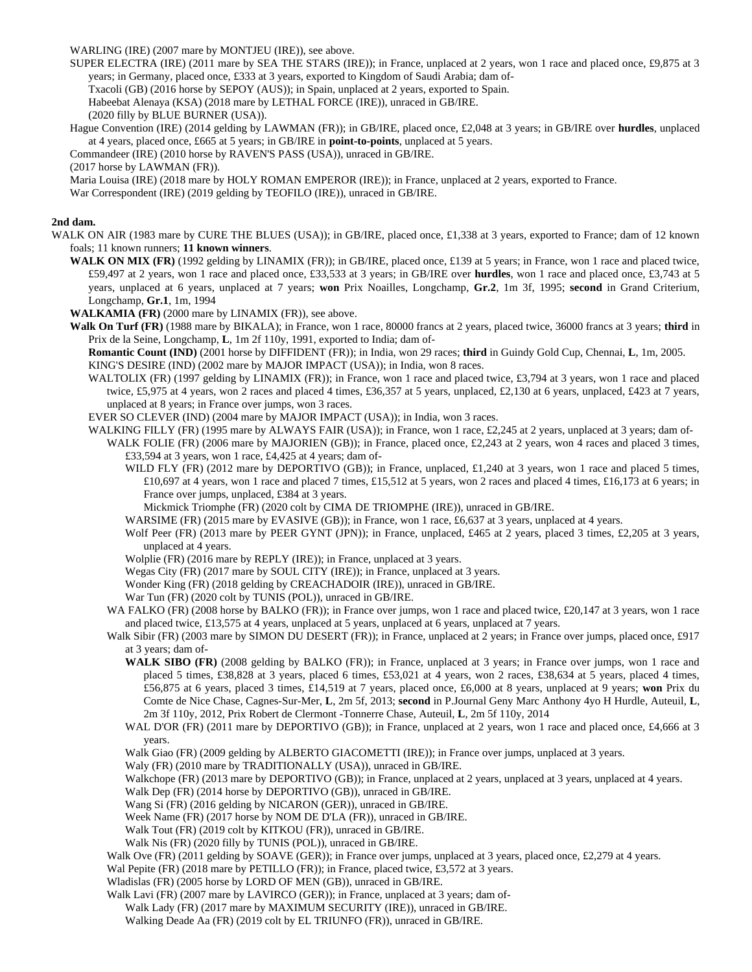WARLING (IRE) (2007 mare by MONTJEU (IRE)), see above.

SUPER ELECTRA (IRE) (2011 mare by SEA THE STARS (IRE)); in France, unplaced at 2 years, won 1 race and placed once, £9,875 at 3 years; in Germany, placed once, £333 at 3 years, exported to Kingdom of Saudi Arabia; dam of-

Txacoli (GB) (2016 horse by SEPOY (AUS)); in Spain, unplaced at 2 years, exported to Spain.

Habeebat Alenaya (KSA) (2018 mare by LETHAL FORCE (IRE)), unraced in GB/IRE.

(2020 filly by BLUE BURNER (USA)).

Hague Convention (IRE) (2014 gelding by LAWMAN (FR)); in GB/IRE, placed once, £2,048 at 3 years; in GB/IRE over **hurdles**, unplaced at 4 years, placed once, £665 at 5 years; in GB/IRE in **point-to-points**, unplaced at 5 years.

Commandeer (IRE) (2010 horse by RAVEN'S PASS (USA)), unraced in GB/IRE.

(2017 horse by LAWMAN (FR)).

Maria Louisa (IRE) (2018 mare by HOLY ROMAN EMPEROR (IRE)); in France, unplaced at 2 years, exported to France.

War Correspondent (IRE) (2019 gelding by TEOFILO (IRE)), unraced in GB/IRE.

## **2nd dam.**

- WALK ON AIR (1983 mare by CURE THE BLUES (USA)); in GB/IRE, placed once, £1,338 at 3 years, exported to France; dam of 12 known foals; 11 known runners; **11 known winners**.
	- WALK ON MIX (FR) (1992 gelding by LINAMIX (FR)); in GB/IRE, placed once, £139 at 5 years; in France, won 1 race and placed twice, £59,497 at 2 years, won 1 race and placed once, £33,533 at 3 years; in GB/IRE over **hurdles**, won 1 race and placed once, £3,743 at 5 years, unplaced at 6 years, unplaced at 7 years; **won** Prix Noailles, Longchamp, **Gr.2**, 1m 3f, 1995; **second** in Grand Criterium, Longchamp, **Gr.1**, 1m, 1994

**WALKAMIA (FR)** (2000 mare by LINAMIX (FR)), see above.

**Walk On Turf (FR)** (1988 mare by BIKALA); in France, won 1 race, 80000 francs at 2 years, placed twice, 36000 francs at 3 years; **third** in Prix de la Seine, Longchamp, **L**, 1m 2f 110y, 1991, exported to India; dam of-

**Romantic Count (IND)** (2001 horse by DIFFIDENT (FR)); in India, won 29 races; **third** in Guindy Gold Cup, Chennai, **L**, 1m, 2005. KING'S DESIRE (IND) (2002 mare by MAJOR IMPACT (USA)); in India, won 8 races.

WALTOLIX (FR) (1997 gelding by LINAMIX (FR)); in France, won 1 race and placed twice, £3,794 at 3 years, won 1 race and placed twice, £5,975 at 4 years, won 2 races and placed 4 times, £36,357 at 5 years, unplaced, £2,130 at 6 years, unplaced, £423 at 7 years, unplaced at 8 years; in France over jumps, won 3 races.

EVER SO CLEVER (IND) (2004 mare by MAJOR IMPACT (USA)); in India, won 3 races.

WALKING FILLY (FR) (1995 mare by ALWAYS FAIR (USA)); in France, won 1 race, £2,245 at 2 years, unplaced at 3 years; dam of-

- WALK FOLIE (FR) (2006 mare by MAJORIEN (GB)); in France, placed once, £2,243 at 2 years, won 4 races and placed 3 times, £33,594 at 3 years, won 1 race, £4,425 at 4 years; dam of-
	- WILD FLY (FR) (2012 mare by DEPORTIVO (GB)); in France, unplaced, £1,240 at 3 years, won 1 race and placed 5 times,  $£10,697$  at 4 years, won 1 race and placed 7 times, £15,512 at 5 years, won 2 races and placed 4 times, £16,173 at 6 years; in France over jumps, unplaced, £384 at 3 years.

Mickmick Triomphe (FR) (2020 colt by CIMA DE TRIOMPHE (IRE)), unraced in GB/IRE.

- WARSIME (FR) (2015 mare by EVASIVE (GB)); in France, won 1 race, £6,637 at 3 years, unplaced at 4 years.
- Wolf Peer (FR) (2013 mare by PEER GYNT (JPN)); in France, unplaced, £465 at 2 years, placed 3 times, £2,205 at 3 years, unplaced at 4 years.
- Wolplie (FR) (2016 mare by REPLY (IRE)); in France, unplaced at 3 years.
- Wegas City (FR) (2017 mare by SOUL CITY (IRE)); in France, unplaced at 3 years.

Wonder King (FR) (2018 gelding by CREACHADOIR (IRE)), unraced in GB/IRE.

War Tun (FR) (2020 colt by TUNIS (POL)), unraced in GB/IRE.

- WA FALKO (FR) (2008 horse by BALKO (FR)); in France over jumps, won 1 race and placed twice, £20,147 at 3 years, won 1 race and placed twice, £13,575 at 4 years, unplaced at 5 years, unplaced at 6 years, unplaced at 7 years.
- Walk Sibir (FR) (2003 mare by SIMON DU DESERT (FR)); in France, unplaced at 2 years; in France over jumps, placed once, £917 at 3 years; dam of-
	- **WALK SIBO (FR)** (2008 gelding by BALKO (FR)); in France, unplaced at 3 years; in France over jumps, won 1 race and placed 5 times, £38,828 at 3 years, placed 6 times, £53,021 at 4 years, won 2 races, £38,634 at 5 years, placed 4 times, £56,875 at 6 years, placed 3 times, £14,519 at 7 years, placed once, £6,000 at 8 years, unplaced at 9 years; **won** Prix du Comte de Nice Chase, Cagnes-Sur-Mer, **L**, 2m 5f, 2013; **second** in P.Journal Geny Marc Anthony 4yo H Hurdle, Auteuil, **L**, 2m 3f 110y, 2012, Prix Robert de Clermont -Tonnerre Chase, Auteuil, **L**, 2m 5f 110y, 2014

WAL D'OR (FR) (2011 mare by DEPORTIVO (GB)); in France, unplaced at 2 years, won 1 race and placed once, £4,666 at 3 years.

Walk Giao (FR) (2009 gelding by ALBERTO GIACOMETTI (IRE)); in France over jumps, unplaced at 3 years.

Waly (FR) (2010 mare by TRADITIONALLY (USA)), unraced in GB/IRE.

Walkchope (FR) (2013 mare by DEPORTIVO (GB)); in France, unplaced at 2 years, unplaced at 3 years, unplaced at 4 years.

Walk Dep (FR) (2014 horse by DEPORTIVO (GB)), unraced in GB/IRE.

Wang Si (FR) (2016 gelding by NICARON (GER)), unraced in GB/IRE.

Week Name (FR) (2017 horse by NOM DE D'LA (FR)), unraced in GB/IRE.

Walk Tout (FR) (2019 colt by KITKOU (FR)), unraced in GB/IRE.

Walk Nis (FR) (2020 filly by TUNIS (POL)), unraced in GB/IRE.

Walk Ove (FR) (2011 gelding by SOAVE (GER)); in France over jumps, unplaced at 3 years, placed once, £2,279 at 4 years.

Wal Pepite (FR) (2018 mare by PETILLO (FR)); in France, placed twice, £3,572 at 3 years.

Wladislas (FR) (2005 horse by LORD OF MEN (GB)), unraced in GB/IRE.

Walk Lavi (FR) (2007 mare by LAVIRCO (GER)); in France, unplaced at 3 years; dam of-

Walk Lady (FR) (2017 mare by MAXIMUM SECURITY (IRE)), unraced in GB/IRE.

Walking Deade Aa (FR) (2019 colt by EL TRIUNFO (FR)), unraced in GB/IRE.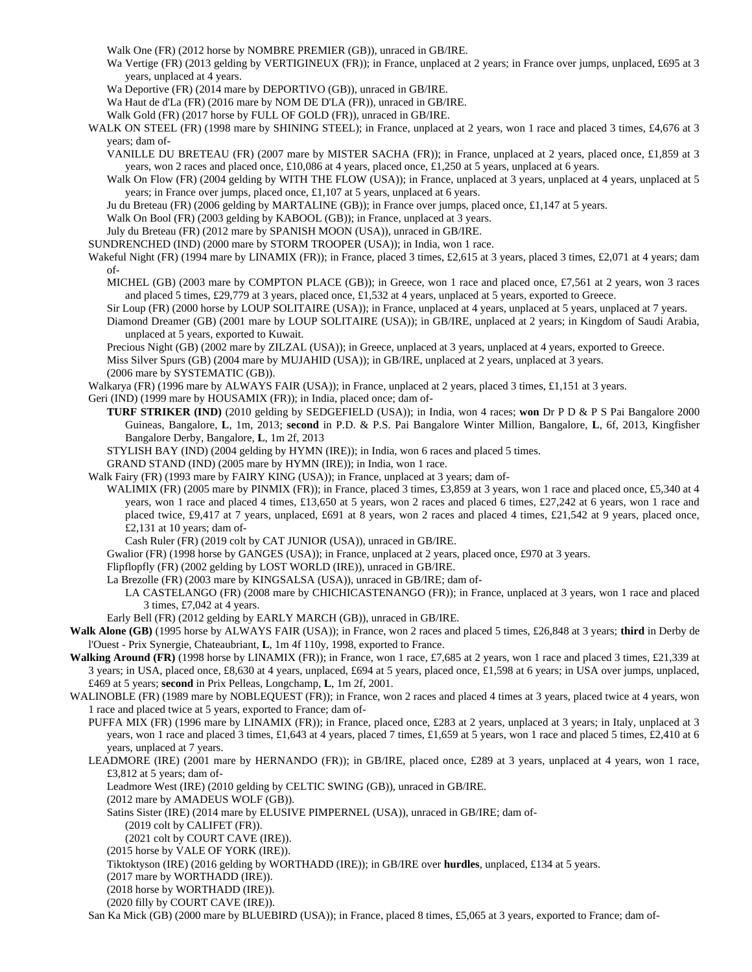Walk One (FR) (2012 horse by NOMBRE PREMIER (GB)), unraced in GB/IRE.

- Wa Vertige (FR) (2013 gelding by VERTIGINEUX (FR)); in France, unplaced at 2 years; in France over jumps, unplaced, £695 at 3 years, unplaced at 4 years.
- Wa Deportive (FR) (2014 mare by DEPORTIVO (GB)), unraced in GB/IRE.

Wa Haut de d'La (FR) (2016 mare by NOM DE D'LA (FR)), unraced in GB/IRE.

- Walk Gold (FR) (2017 horse by FULL OF GOLD (FR)), unraced in GB/IRE.
- WALK ON STEEL (FR) (1998 mare by SHINING STEEL); in France, unplaced at 2 years, won 1 race and placed 3 times, £4,676 at 3 years; dam of-
	- VANILLE DU BRETEAU (FR) (2007 mare by MISTER SACHA (FR)); in France, unplaced at 2 years, placed once, £1,859 at 3 years, won 2 races and placed once, £10,086 at 4 years, placed once, £1,250 at 5 years, unplaced at 6 years.
	- Walk On Flow (FR) (2004 gelding by WITH THE FLOW (USA)); in France, unplaced at 3 years, unplaced at 4 years, unplaced at 5 years; in France over jumps, placed once, £1,107 at 5 years, unplaced at 6 years.
	- Ju du Breteau (FR) (2006 gelding by MARTALINE (GB)); in France over jumps, placed once, £1,147 at 5 years.
	- Walk On Bool (FR) (2003 gelding by KABOOL (GB)); in France, unplaced at 3 years.
	- July du Breteau (FR) (2012 mare by SPANISH MOON (USA)), unraced in GB/IRE.
- SUNDRENCHED (IND) (2000 mare by STORM TROOPER (USA)); in India, won 1 race.
- Wakeful Night (FR) (1994 mare by LINAMIX (FR)); in France, placed 3 times, £2,615 at 3 years, placed 3 times, £2,071 at 4 years; dam of-
	- MICHEL (GB) (2003 mare by COMPTON PLACE (GB)); in Greece, won 1 race and placed once, £7,561 at 2 years, won 3 races and placed 5 times, £29,779 at 3 years, placed once, £1,532 at 4 years, unplaced at 5 years, exported to Greece.
	- Sir Loup (FR) (2000 horse by LOUP SOLITAIRE (USA)); in France, unplaced at 4 years, unplaced at 5 years, unplaced at 7 years.
	- Diamond Dreamer (GB) (2001 mare by LOUP SOLITAIRE (USA)); in GB/IRE, unplaced at 2 years; in Kingdom of Saudi Arabia, unplaced at 5 years, exported to Kuwait.
	- Precious Night (GB) (2002 mare by ZILZAL (USA)); in Greece, unplaced at 3 years, unplaced at 4 years, exported to Greece.

Miss Silver Spurs (GB) (2004 mare by MUJAHID (USA)); in GB/IRE, unplaced at 2 years, unplaced at 3 years.

(2006 mare by SYSTEMATIC (GB)).

- Walkarya (FR) (1996 mare by ALWAYS FAIR (USA)); in France, unplaced at 2 years, placed 3 times, £1,151 at 3 years.
- Geri (IND) (1999 mare by HOUSAMIX (FR)); in India, placed once; dam of-
	- **TURF STRIKER (IND)** (2010 gelding by SEDGEFIELD (USA)); in India, won 4 races; **won** Dr P D & P S Pai Bangalore 2000 Guineas, Bangalore, **L**, 1m, 2013; **second** in P.D. & P.S. Pai Bangalore Winter Million, Bangalore, **L**, 6f, 2013, Kingfisher Bangalore Derby, Bangalore, **L**, 1m 2f, 2013
	- STYLISH BAY (IND) (2004 gelding by HYMN (IRE)); in India, won 6 races and placed 5 times.
	- GRAND STAND (IND) (2005 mare by HYMN (IRE)); in India, won 1 race.
- Walk Fairy (FR) (1993 mare by FAIRY KING (USA)); in France, unplaced at 3 years; dam of-
	- WALIMIX (FR) (2005 mare by PINMIX (FR)); in France, placed 3 times, £3,859 at 3 years, won 1 race and placed once, £5,340 at 4 years, won 1 race and placed 4 times, £13,650 at 5 years, won 2 races and placed 6 times, £27,242 at 6 years, won 1 race and placed twice, £9,417 at 7 years, unplaced, £691 at 8 years, won 2 races and placed 4 times, £21,542 at 9 years, placed once, £2,131 at 10 years; dam of-
		- Cash Ruler (FR) (2019 colt by CAT JUNIOR (USA)), unraced in GB/IRE.
	- Gwalior (FR) (1998 horse by GANGES (USA)); in France, unplaced at 2 years, placed once, £970 at 3 years.
	- Flipflopfly (FR) (2002 gelding by LOST WORLD (IRE)), unraced in GB/IRE.
	- La Brezolle (FR) (2003 mare by KINGSALSA (USA)), unraced in GB/IRE; dam of-
		- LA CASTELANGO (FR) (2008 mare by CHICHICASTENANGO (FR)); in France, unplaced at 3 years, won 1 race and placed 3 times, £7,042 at 4 years.
	- Early Bell (FR) (2012 gelding by EARLY MARCH (GB)), unraced in GB/IRE.
- **Walk Alone (GB)** (1995 horse by ALWAYS FAIR (USA)); in France, won 2 races and placed 5 times, £26,848 at 3 years; **third** in Derby de l'Ouest - Prix Synergie, Chateaubriant, **L**, 1m 4f 110y, 1998, exported to France.
- **Walking Around (FR)** (1998 horse by LINAMIX (FR)); in France, won 1 race, £7,685 at 2 years, won 1 race and placed 3 times, £21,339 at 3 years; in USA, placed once, £8,630 at 4 years, unplaced, £694 at 5 years, placed once, £1,598 at 6 years; in USA over jumps, unplaced, £469 at 5 years; **second** in Prix Pelleas, Longchamp, **L**, 1m 2f, 2001.
- WALINOBLE (FR) (1989 mare by NOBLEQUEST (FR)); in France, won 2 races and placed 4 times at 3 years, placed twice at 4 years, won 1 race and placed twice at 5 years, exported to France; dam of-
	- PUFFA MIX (FR) (1996 mare by LINAMIX (FR)); in France, placed once, £283 at 2 years, unplaced at 3 years; in Italy, unplaced at 3 years, won 1 race and placed 3 times, £1,643 at 4 years, placed 7 times, £1,659 at 5 years, won 1 race and placed 5 times, £2,410 at 6 years, unplaced at 7 years.
	- LEADMORE (IRE) (2001 mare by HERNANDO (FR)); in GB/IRE, placed once, £289 at 3 years, unplaced at 4 years, won 1 race, £3,812 at 5 years; dam of-
		- Leadmore West (IRE) (2010 gelding by CELTIC SWING (GB)), unraced in GB/IRE.
		- (2012 mare by AMADEUS WOLF (GB)).
		- Satins Sister (IRE) (2014 mare by ELUSIVE PIMPERNEL (USA)), unraced in GB/IRE; dam of-
			- (2019 colt by CALIFET (FR)).
			- (2021 colt by COURT CAVE (IRE)).
		- (2015 horse by VALE OF YORK (IRE)).
		- Tiktoktyson (IRE) (2016 gelding by WORTHADD (IRE)); in GB/IRE over **hurdles**, unplaced, £134 at 5 years.
		- (2017 mare by WORTHADD (IRE)).
		- (2018 horse by WORTHADD (IRE)).
		- (2020 filly by COURT CAVE (IRE)).

San Ka Mick (GB) (2000 mare by BLUEBIRD (USA)); in France, placed 8 times, £5,065 at 3 years, exported to France; dam of-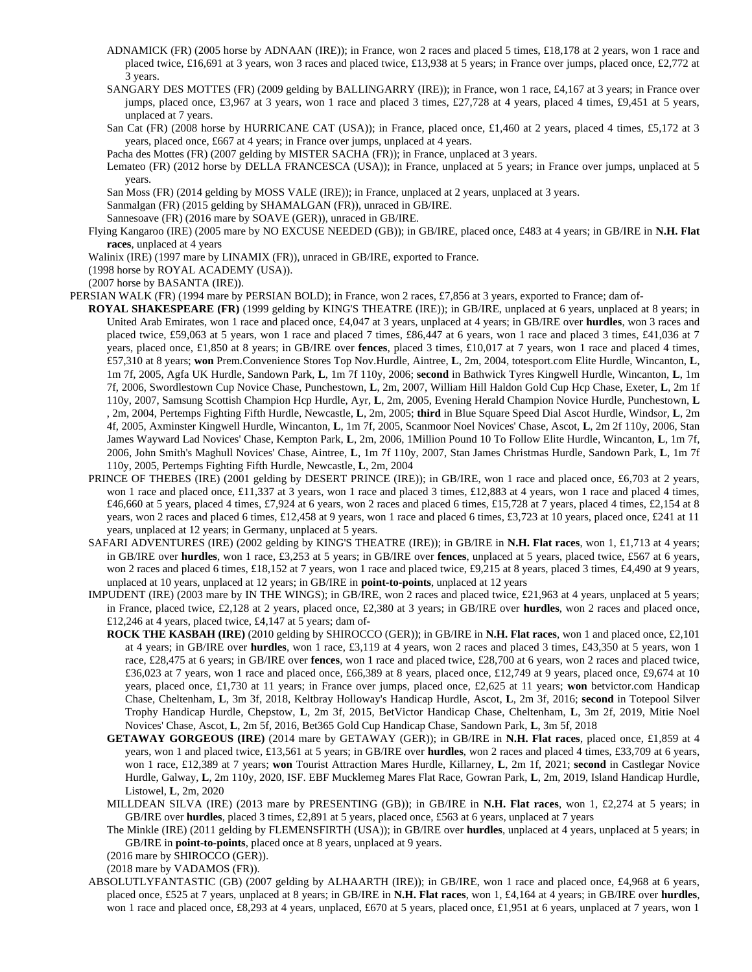- ADNAMICK (FR) (2005 horse by ADNAAN (IRE)); in France, won 2 races and placed 5 times, £18,178 at 2 years, won 1 race and placed twice, £16,691 at 3 years, won 3 races and placed twice, £13,938 at 5 years; in France over jumps, placed once, £2,772 at 3 years.
- SANGARY DES MOTTES (FR) (2009 gelding by BALLINGARRY (IRE)); in France, won 1 race, £4,167 at 3 years; in France over jumps, placed once, £3,967 at 3 years, won 1 race and placed 3 times, £27,728 at 4 years, placed 4 times, £9,451 at 5 years, unplaced at 7 years.
- San Cat (FR) (2008 horse by HURRICANE CAT (USA)); in France, placed once, £1,460 at 2 years, placed 4 times, £5,172 at 3 years, placed once, £667 at 4 years; in France over jumps, unplaced at 4 years.

Pacha des Mottes (FR) (2007 gelding by MISTER SACHA (FR)); in France, unplaced at 3 years.

Lemateo (FR) (2012 horse by DELLA FRANCESCA (USA)); in France, unplaced at 5 years; in France over jumps, unplaced at 5 years.

San Moss (FR) (2014 gelding by MOSS VALE (IRE)); in France, unplaced at 2 years, unplaced at 3 years.

Sanmalgan (FR) (2015 gelding by SHAMALGAN (FR)), unraced in GB/IRE.

Sannesoave (FR) (2016 mare by SOAVE (GER)), unraced in GB/IRE.

Flying Kangaroo (IRE) (2005 mare by NO EXCUSE NEEDED (GB)); in GB/IRE, placed once, £483 at 4 years; in GB/IRE in **N.H. Flat races**, unplaced at 4 years

Walinix (IRE) (1997 mare by LINAMIX (FR)), unraced in GB/IRE, exported to France.

(1998 horse by ROYAL ACADEMY (USA)).

(2007 horse by BASANTA (IRE)).

PERSIAN WALK (FR) (1994 mare by PERSIAN BOLD); in France, won 2 races, £7,856 at 3 years, exported to France; dam of-

- **ROYAL SHAKESPEARE (FR)** (1999 gelding by KING'S THEATRE (IRE)); in GB/IRE, unplaced at 6 years, unplaced at 8 years; in United Arab Emirates, won 1 race and placed once, £4,047 at 3 years, unplaced at 4 years; in GB/IRE over **hurdles**, won 3 races and placed twice, £59,063 at 5 years, won 1 race and placed 7 times, £86,447 at 6 years, won 1 race and placed 3 times, £41,036 at 7 years, placed once, £1,850 at 8 years; in GB/IRE over **fences**, placed 3 times, £10,017 at 7 years, won 1 race and placed 4 times, £57,310 at 8 years; **won** Prem.Convenience Stores Top Nov.Hurdle, Aintree, **L**, 2m, 2004, totesport.com Elite Hurdle, Wincanton, **L**, 1m 7f, 2005, Agfa UK Hurdle, Sandown Park, **L**, 1m 7f 110y, 2006; **second** in Bathwick Tyres Kingwell Hurdle, Wincanton, **L**, 1m 7f, 2006, Swordlestown Cup Novice Chase, Punchestown, **L**, 2m, 2007, William Hill Haldon Gold Cup Hcp Chase, Exeter, **L**, 2m 1f 110y, 2007, Samsung Scottish Champion Hcp Hurdle, Ayr, **L**, 2m, 2005, Evening Herald Champion Novice Hurdle, Punchestown, **L** , 2m, 2004, Pertemps Fighting Fifth Hurdle, Newcastle, **L**, 2m, 2005; **third** in Blue Square Speed Dial Ascot Hurdle, Windsor, **L**, 2m 4f, 2005, Axminster Kingwell Hurdle, Wincanton, **L**, 1m 7f, 2005, Scanmoor Noel Novices' Chase, Ascot, **L**, 2m 2f 110y, 2006, Stan James Wayward Lad Novices' Chase, Kempton Park, **L**, 2m, 2006, 1Million Pound 10 To Follow Elite Hurdle, Wincanton, **L**, 1m 7f, 2006, John Smith's Maghull Novices' Chase, Aintree, **L**, 1m 7f 110y, 2007, Stan James Christmas Hurdle, Sandown Park, **L**, 1m 7f 110y, 2005, Pertemps Fighting Fifth Hurdle, Newcastle, **L**, 2m, 2004
- PRINCE OF THEBES (IRE) (2001 gelding by DESERT PRINCE (IRE)); in GB/IRE, won 1 race and placed once, £6,703 at 2 years, won 1 race and placed once, £11,337 at 3 years, won 1 race and placed 3 times, £12,883 at 4 years, won 1 race and placed 4 times, £46,660 at 5 years, placed 4 times, £7,924 at 6 years, won 2 races and placed 6 times, £15,728 at 7 years, placed 4 times, £2,154 at 8 years, won 2 races and placed 6 times, £12,458 at 9 years, won 1 race and placed 6 times, £3,723 at 10 years, placed once, £241 at 11 years, unplaced at 12 years; in Germany, unplaced at 5 years.
- SAFARI ADVENTURES (IRE) (2002 gelding by KING'S THEATRE (IRE)); in GB/IRE in **N.H. Flat races**, won 1, £1,713 at 4 years; in GB/IRE over **hurdles**, won 1 race, £3,253 at 5 years; in GB/IRE over **fences**, unplaced at 5 years, placed twice, £567 at 6 years, won 2 races and placed 6 times, £18,152 at 7 years, won 1 race and placed twice, £9,215 at 8 years, placed 3 times, £4,490 at 9 years, unplaced at 10 years, unplaced at 12 years; in GB/IRE in **point-to-points**, unplaced at 12 years
- IMPUDENT (IRE) (2003 mare by IN THE WINGS); in GB/IRE, won 2 races and placed twice, £21,963 at 4 years, unplaced at 5 years; in France, placed twice, £2,128 at 2 years, placed once, £2,380 at 3 years; in GB/IRE over **hurdles**, won 2 races and placed once, £12,246 at 4 years, placed twice, £4,147 at 5 years; dam of-
	- **ROCK THE KASBAH (IRE)** (2010 gelding by SHIROCCO (GER)); in GB/IRE in **N.H. Flat races**, won 1 and placed once, £2,101 at 4 years; in GB/IRE over **hurdles**, won 1 race, £3,119 at 4 years, won 2 races and placed 3 times, £43,350 at 5 years, won 1 race, £28,475 at 6 years; in GB/IRE over **fences**, won 1 race and placed twice, £28,700 at 6 years, won 2 races and placed twice, £36,023 at 7 years, won 1 race and placed once, £66,389 at 8 years, placed once, £12,749 at 9 years, placed once, £9,674 at 10 years, placed once, £1,730 at 11 years; in France over jumps, placed once, £2,625 at 11 years; **won** betvictor.com Handicap Chase, Cheltenham, **L**, 3m 3f, 2018, Keltbray Holloway's Handicap Hurdle, Ascot, **L**, 2m 3f, 2016; **second** in Totepool Silver Trophy Handicap Hurdle, Chepstow, **L**, 2m 3f, 2015, BetVictor Handicap Chase, Cheltenham, **L**, 3m 2f, 2019, Mitie Noel Novices' Chase, Ascot, **L**, 2m 5f, 2016, Bet365 Gold Cup Handicap Chase, Sandown Park, **L**, 3m 5f, 2018
	- **GETAWAY GORGEOUS (IRE)** (2014 mare by GETAWAY (GER)); in GB/IRE in **N.H. Flat races**, placed once, £1,859 at 4 years, won 1 and placed twice, £13,561 at 5 years; in GB/IRE over **hurdles**, won 2 races and placed 4 times, £33,709 at 6 years, won 1 race, £12,389 at 7 years; **won** Tourist Attraction Mares Hurdle, Killarney, **L**, 2m 1f, 2021; **second** in Castlegar Novice Hurdle, Galway, **L**, 2m 110y, 2020, ISF. EBF Mucklemeg Mares Flat Race, Gowran Park, **L**, 2m, 2019, Island Handicap Hurdle, Listowel, **L**, 2m, 2020
	- MILLDEAN SILVA (IRE) (2013 mare by PRESENTING (GB)); in GB/IRE in **N.H. Flat races**, won 1, £2,274 at 5 years; in GB/IRE over **hurdles**, placed 3 times, £2,891 at 5 years, placed once, £563 at 6 years, unplaced at 7 years
	- The Minkle (IRE) (2011 gelding by FLEMENSFIRTH (USA)); in GB/IRE over **hurdles**, unplaced at 4 years, unplaced at 5 years; in GB/IRE in **point-to-points**, placed once at 8 years, unplaced at 9 years.

(2016 mare by SHIROCCO (GER)).

(2018 mare by VADAMOS (FR)).

ABSOLUTLYFANTASTIC (GB) (2007 gelding by ALHAARTH (IRE)); in GB/IRE, won 1 race and placed once, £4,968 at 6 years, placed once, £525 at 7 years, unplaced at 8 years; in GB/IRE in **N.H. Flat races**, won 1, £4,164 at 4 years; in GB/IRE over **hurdles**, won 1 race and placed once, £8,293 at 4 years, unplaced, £670 at 5 years, placed once, £1,951 at 6 years, unplaced at 7 years, won 1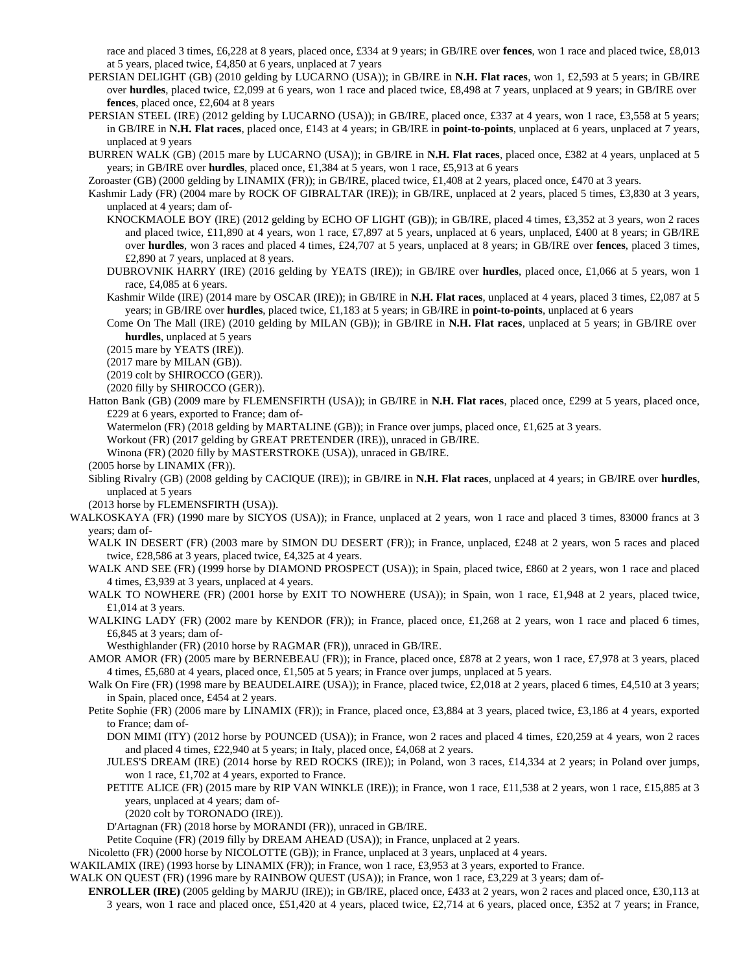race and placed 3 times, £6,228 at 8 years, placed once, £334 at 9 years; in GB/IRE over **fences**, won 1 race and placed twice, £8,013 at 5 years, placed twice, £4,850 at 6 years, unplaced at 7 years

- PERSIAN DELIGHT (GB) (2010 gelding by LUCARNO (USA)); in GB/IRE in **N.H. Flat races**, won 1, £2,593 at 5 years; in GB/IRE over **hurdles**, placed twice, £2,099 at 6 years, won 1 race and placed twice, £8,498 at 7 years, unplaced at 9 years; in GB/IRE over **fences**, placed once, £2,604 at 8 years
- PERSIAN STEEL (IRE) (2012 gelding by LUCARNO (USA)); in GB/IRE, placed once, £337 at 4 years, won 1 race, £3,558 at 5 years; in GB/IRE in **N.H. Flat races**, placed once, £143 at 4 years; in GB/IRE in **point-to-points**, unplaced at 6 years, unplaced at 7 years, unplaced at 9 years
- BURREN WALK (GB) (2015 mare by LUCARNO (USA)); in GB/IRE in **N.H. Flat races**, placed once, £382 at 4 years, unplaced at 5 years; in GB/IRE over **hurdles**, placed once, £1,384 at 5 years, won 1 race, £5,913 at 6 years
- Zoroaster (GB) (2000 gelding by LINAMIX (FR)); in GB/IRE, placed twice, £1,408 at 2 years, placed once, £470 at 3 years.
- Kashmir Lady (FR) (2004 mare by ROCK OF GIBRALTAR (IRE)); in GB/IRE, unplaced at 2 years, placed 5 times, £3,830 at 3 years, unplaced at 4 years; dam of-
	- KNOCKMAOLE BOY (IRE) (2012 gelding by ECHO OF LIGHT (GB)); in GB/IRE, placed 4 times, £3,352 at 3 years, won 2 races and placed twice, £11,890 at 4 years, won 1 race, £7,897 at 5 years, unplaced at 6 years, unplaced, £400 at 8 years; in GB/IRE over **hurdles**, won 3 races and placed 4 times, £24,707 at 5 years, unplaced at 8 years; in GB/IRE over **fences**, placed 3 times, £2,890 at 7 years, unplaced at 8 years.
	- DUBROVNIK HARRY (IRE) (2016 gelding by YEATS (IRE)); in GB/IRE over **hurdles**, placed once, £1,066 at 5 years, won 1 race, £4,085 at 6 years.
	- Kashmir Wilde (IRE) (2014 mare by OSCAR (IRE)); in GB/IRE in **N.H. Flat races**, unplaced at 4 years, placed 3 times, £2,087 at 5 years; in GB/IRE over **hurdles**, placed twice, £1,183 at 5 years; in GB/IRE in **point-to-points**, unplaced at 6 years
	- Come On The Mall (IRE) (2010 gelding by MILAN (GB)); in GB/IRE in **N.H. Flat races**, unplaced at 5 years; in GB/IRE over **hurdles**, unplaced at 5 years
	- (2015 mare by YEATS (IRE)).
	- (2017 mare by MILAN (GB)).
	- (2019 colt by SHIROCCO (GER)).
	- (2020 filly by SHIROCCO (GER)).
- Hatton Bank (GB) (2009 mare by FLEMENSFIRTH (USA)); in GB/IRE in **N.H. Flat races**, placed once, £299 at 5 years, placed once, £229 at 6 years, exported to France; dam of-
	- Watermelon (FR) (2018 gelding by MARTALINE (GB)); in France over jumps, placed once, £1,625 at 3 years.
	- Workout (FR) (2017 gelding by GREAT PRETENDER (IRE)), unraced in GB/IRE.
	- Winona (FR) (2020 filly by MASTERSTROKE (USA)), unraced in GB/IRE.
- (2005 horse by LINAMIX (FR)).
- Sibling Rivalry (GB) (2008 gelding by CACIQUE (IRE)); in GB/IRE in **N.H. Flat races**, unplaced at 4 years; in GB/IRE over **hurdles**, unplaced at 5 years
- (2013 horse by FLEMENSFIRTH (USA)).
- WALKOSKAYA (FR) (1990 mare by SICYOS (USA)); in France, unplaced at 2 years, won 1 race and placed 3 times, 83000 francs at 3 years; dam of-
	- WALK IN DESERT (FR) (2003 mare by SIMON DU DESERT (FR)); in France, unplaced, £248 at 2 years, won 5 races and placed twice, £28,586 at 3 years, placed twice, £4,325 at 4 years.
	- WALK AND SEE (FR) (1999 horse by DIAMOND PROSPECT (USA)); in Spain, placed twice, £860 at 2 years, won 1 race and placed 4 times, £3,939 at 3 years, unplaced at 4 years.
	- WALK TO NOWHERE (FR) (2001 horse by EXIT TO NOWHERE (USA)); in Spain, won 1 race, £1,948 at 2 years, placed twice, £1,014 at 3 years.
	- WALKING LADY (FR) (2002 mare by KENDOR (FR)); in France, placed once, £1,268 at 2 years, won 1 race and placed 6 times, £6,845 at 3 years; dam of-
		- Westhighlander (FR) (2010 horse by RAGMAR (FR)), unraced in GB/IRE.
	- AMOR AMOR (FR) (2005 mare by BERNEBEAU (FR)); in France, placed once, £878 at 2 years, won 1 race, £7,978 at 3 years, placed 4 times, £5,680 at 4 years, placed once, £1,505 at 5 years; in France over jumps, unplaced at 5 years.
	- Walk On Fire (FR) (1998 mare by BEAUDELAIRE (USA)); in France, placed twice, £2,018 at 2 years, placed 6 times, £4,510 at 3 years; in Spain, placed once, £454 at 2 years.
	- Petite Sophie (FR) (2006 mare by LINAMIX (FR)); in France, placed once, £3,884 at 3 years, placed twice, £3,186 at 4 years, exported to France; dam of-
		- DON MIMI (ITY) (2012 horse by POUNCED (USA)); in France, won 2 races and placed 4 times, £20,259 at 4 years, won 2 races and placed 4 times, £22,940 at 5 years; in Italy, placed once, £4,068 at 2 years.
		- JULES'S DREAM (IRE) (2014 horse by RED ROCKS (IRE)); in Poland, won 3 races, £14,334 at 2 years; in Poland over jumps, won 1 race, £1,702 at 4 years, exported to France.
		- PETITE ALICE (FR) (2015 mare by RIP VAN WINKLE (IRE)); in France, won 1 race, £11,538 at 2 years, won 1 race, £15,885 at 3 years, unplaced at 4 years; dam of-
			- (2020 colt by TORONADO (IRE)).
		- D'Artagnan (FR) (2018 horse by MORANDI (FR)), unraced in GB/IRE.
		- Petite Coquine (FR) (2019 filly by DREAM AHEAD (USA)); in France, unplaced at 2 years.
- Nicoletto (FR) (2000 horse by NICOLOTTE (GB)); in France, unplaced at 3 years, unplaced at 4 years.
- WAKILAMIX (IRE) (1993 horse by LINAMIX (FR)); in France, won 1 race, £3,953 at 3 years, exported to France.
- WALK ON QUEST (FR) (1996 mare by RAINBOW QUEST (USA)); in France, won 1 race, £3,229 at 3 years; dam of-
	- **ENROLLER (IRE)** (2005 gelding by MARJU (IRE)); in GB/IRE, placed once, £433 at 2 years, won 2 races and placed once, £30,113 at 3 years, won 1 race and placed once, £51,420 at 4 years, placed twice, £2,714 at 6 years, placed once, £352 at 7 years; in France,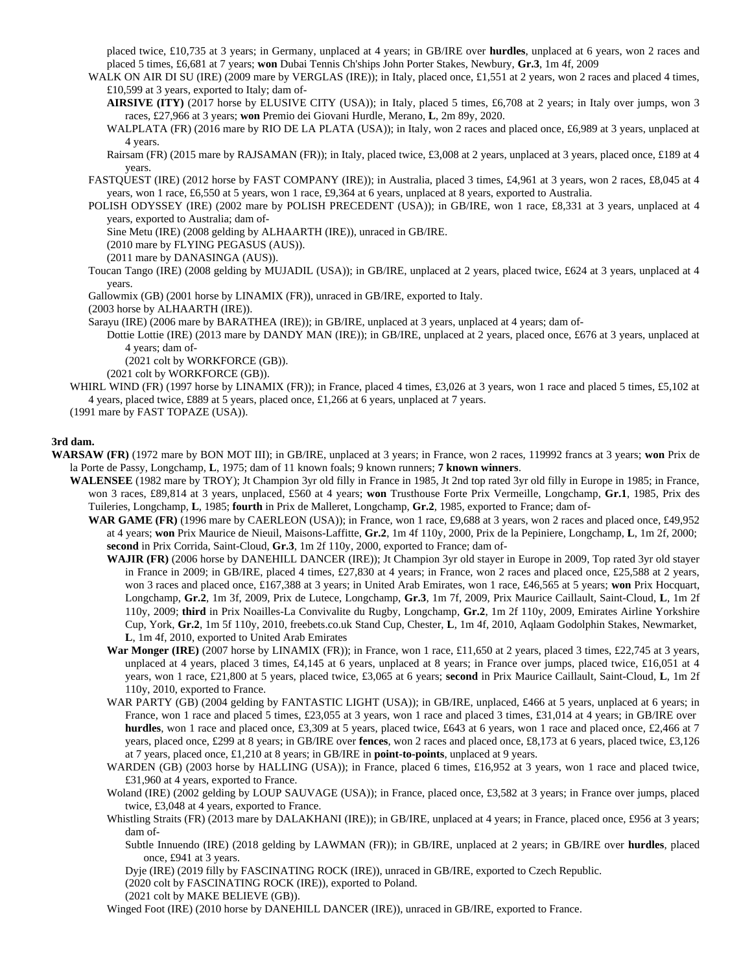placed twice, £10,735 at 3 years; in Germany, unplaced at 4 years; in GB/IRE over **hurdles**, unplaced at 6 years, won 2 races and placed 5 times, £6,681 at 7 years; **won** Dubai Tennis Ch'ships John Porter Stakes, Newbury, **Gr.3**, 1m 4f, 2009

WALK ON AIR DI SU (IRE) (2009 mare by VERGLAS (IRE)); in Italy, placed once, £1,551 at 2 years, won 2 races and placed 4 times, £10,599 at 3 years, exported to Italy; dam of-

**AIRSIVE (ITY)** (2017 horse by ELUSIVE CITY (USA)); in Italy, placed 5 times, £6,708 at 2 years; in Italy over jumps, won 3 races, £27,966 at 3 years; **won** Premio dei Giovani Hurdle, Merano, **L**, 2m 89y, 2020.

WALPLATA (FR) (2016 mare by RIO DE LA PLATA (USA)); in Italy, won 2 races and placed once, £6,989 at 3 years, unplaced at 4 years.

Rairsam (FR) (2015 mare by RAJSAMAN (FR)); in Italy, placed twice, £3,008 at 2 years, unplaced at 3 years, placed once, £189 at 4 years.

FASTQUEST (IRE) (2012 horse by FAST COMPANY (IRE)); in Australia, placed 3 times, £4,961 at 3 years, won 2 races, £8,045 at 4 years, won 1 race, £6,550 at 5 years, won 1 race, £9,364 at 6 years, unplaced at 8 years, exported to Australia.

POLISH ODYSSEY (IRE) (2002 mare by POLISH PRECEDENT (USA)); in GB/IRE, won 1 race, £8,331 at 3 years, unplaced at 4 years, exported to Australia; dam of-

Sine Metu (IRE) (2008 gelding by ALHAARTH (IRE)), unraced in GB/IRE.

(2010 mare by FLYING PEGASUS (AUS)).

(2011 mare by DANASINGA (AUS)).

Toucan Tango (IRE) (2008 gelding by MUJADIL (USA)); in GB/IRE, unplaced at 2 years, placed twice, £624 at 3 years, unplaced at 4 years.

Gallowmix (GB) (2001 horse by LINAMIX (FR)), unraced in GB/IRE, exported to Italy.

(2003 horse by ALHAARTH (IRE)).

Sarayu (IRE) (2006 mare by BARATHEA (IRE)); in GB/IRE, unplaced at 3 years, unplaced at 4 years; dam of-

Dottie Lottie (IRE) (2013 mare by DANDY MAN (IRE)); in GB/IRE, unplaced at 2 years, placed once, £676 at 3 years, unplaced at 4 years; dam of-

(2021 colt by WORKFORCE (GB)).

(2021 colt by WORKFORCE (GB)).

WHIRL WIND (FR) (1997 horse by LINAMIX (FR)); in France, placed 4 times, £3,026 at 3 years, won 1 race and placed 5 times, £5,102 at 4 years, placed twice, £889 at 5 years, placed once, £1,266 at 6 years, unplaced at 7 years.

(1991 mare by FAST TOPAZE (USA)).

## **3rd dam.**

**WARSAW (FR)** (1972 mare by BON MOT III); in GB/IRE, unplaced at 3 years; in France, won 2 races, 119992 francs at 3 years; **won** Prix de la Porte de Passy, Longchamp, **L**, 1975; dam of 11 known foals; 9 known runners; **7 known winners**.

**WALENSEE** (1982 mare by TROY); Jt Champion 3yr old filly in France in 1985, Jt 2nd top rated 3yr old filly in Europe in 1985; in France, won 3 races, £89,814 at 3 years, unplaced, £560 at 4 years; **won** Trusthouse Forte Prix Vermeille, Longchamp, **Gr.1**, 1985, Prix des Tuileries, Longchamp, **L**, 1985; **fourth** in Prix de Malleret, Longchamp, **Gr.2**, 1985, exported to France; dam of-

**WAR GAME (FR)** (1996 mare by CAERLEON (USA)); in France, won 1 race, £9,688 at 3 years, won 2 races and placed once, £49,952 at 4 years; **won** Prix Maurice de Nieuil, Maisons-Laffitte, **Gr.2**, 1m 4f 110y, 2000, Prix de la Pepiniere, Longchamp, **L**, 1m 2f, 2000; **second** in Prix Corrida, Saint-Cloud, **Gr.3**, 1m 2f 110y, 2000, exported to France; dam of-

**WAJIR (FR)** (2006 horse by DANEHILL DANCER (IRE)); Jt Champion 3yr old stayer in Europe in 2009, Top rated 3yr old stayer in France in 2009; in GB/IRE, placed 4 times, £27,830 at 4 years; in France, won 2 races and placed once, £25,588 at 2 years, won 3 races and placed once, £167,388 at 3 years; in United Arab Emirates, won 1 race, £46,565 at 5 years; **won** Prix Hocquart, Longchamp, **Gr.2**, 1m 3f, 2009, Prix de Lutece, Longchamp, **Gr.3**, 1m 7f, 2009, Prix Maurice Caillault, Saint-Cloud, **L**, 1m 2f 110y, 2009; **third** in Prix Noailles-La Convivalite du Rugby, Longchamp, **Gr.2**, 1m 2f 110y, 2009, Emirates Airline Yorkshire Cup, York, **Gr.2**, 1m 5f 110y, 2010, freebets.co.uk Stand Cup, Chester, **L**, 1m 4f, 2010, Aqlaam Godolphin Stakes, Newmarket, **L**, 1m 4f, 2010, exported to United Arab Emirates

- War Monger (IRE) (2007 horse by LINAMIX (FR)); in France, won 1 race, £11,650 at 2 years, placed 3 times, £22,745 at 3 years, unplaced at 4 years, placed 3 times,  $\text{\pounds}4,145$  at 6 years, unplaced at 8 years; in France over jumps, placed twice, £16,051 at 4 years, won 1 race, £21,800 at 5 years, placed twice, £3,065 at 6 years; **second** in Prix Maurice Caillault, Saint-Cloud, **L**, 1m 2f 110y, 2010, exported to France.
- WAR PARTY (GB) (2004 gelding by FANTASTIC LIGHT (USA)); in GB/IRE, unplaced, £466 at 5 years, unplaced at 6 years; in France, won 1 race and placed 5 times, £23,055 at 3 years, won 1 race and placed 3 times, £31,014 at 4 years; in GB/IRE over **hurdles**, won 1 race and placed once, £3,309 at 5 years, placed twice, £643 at 6 years, won 1 race and placed once, £2,466 at 7 years, placed once, £299 at 8 years; in GB/IRE over **fences**, won 2 races and placed once, £8,173 at 6 years, placed twice, £3,126 at 7 years, placed once, £1,210 at 8 years; in GB/IRE in **point-to-points**, unplaced at 9 years.
- WARDEN (GB) (2003 horse by HALLING (USA)); in France, placed 6 times, £16,952 at 3 years, won 1 race and placed twice, £31,960 at 4 years, exported to France.

Woland (IRE) (2002 gelding by LOUP SAUVAGE (USA)); in France, placed once, £3,582 at 3 years; in France over jumps, placed twice, £3,048 at 4 years, exported to France.

Whistling Straits (FR) (2013 mare by DALAKHANI (IRE)); in GB/IRE, unplaced at 4 years; in France, placed once, £956 at 3 years; dam of-

Subtle Innuendo (IRE) (2018 gelding by LAWMAN (FR)); in GB/IRE, unplaced at 2 years; in GB/IRE over **hurdles**, placed once, £941 at 3 years.

Dyje (IRE) (2019 filly by FASCINATING ROCK (IRE)), unraced in GB/IRE, exported to Czech Republic.

(2020 colt by FASCINATING ROCK (IRE)), exported to Poland.

(2021 colt by MAKE BELIEVE (GB)).

Winged Foot (IRE) (2010 horse by DANEHILL DANCER (IRE)), unraced in GB/IRE, exported to France.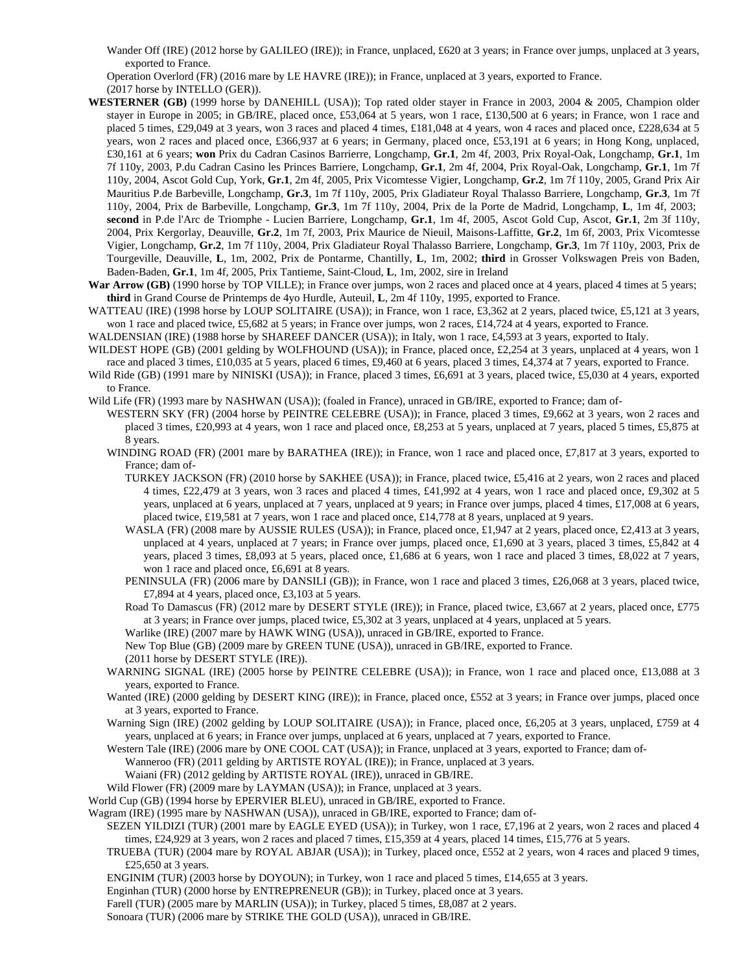Wander Off (IRE) (2012 horse by GALILEO (IRE)); in France, unplaced, £620 at 3 years; in France over jumps, unplaced at 3 years, exported to France.

Operation Overlord (FR) (2016 mare by LE HAVRE (IRE)); in France, unplaced at 3 years, exported to France. (2017 horse by INTELLO (GER)).

- **WESTERNER (GB)** (1999 horse by DANEHILL (USA)); Top rated older stayer in France in 2003, 2004 & 2005, Champion older stayer in Europe in 2005; in GB/IRE, placed once, £53,064 at 5 years, won 1 race, £130,500 at 6 years; in France, won 1 race and placed 5 times, £29,049 at 3 years, won 3 races and placed 4 times, £181,048 at 4 years, won 4 races and placed once, £228,634 at 5 years, won 2 races and placed once, £366,937 at 6 years; in Germany, placed once, £53,191 at 6 years; in Hong Kong, unplaced, £30,161 at 6 years; **won** Prix du Cadran Casinos Barrierre, Longchamp, **Gr.1**, 2m 4f, 2003, Prix Royal-Oak, Longchamp, **Gr.1**, 1m 7f 110y, 2003, P.du Cadran Casino les Princes Barriere, Longchamp, **Gr.1**, 2m 4f, 2004, Prix Royal-Oak, Longchamp, **Gr.1**, 1m 7f 110y, 2004, Ascot Gold Cup, York, **Gr.1**, 2m 4f, 2005, Prix Vicomtesse Vigier, Longchamp, **Gr.2**, 1m 7f 110y, 2005, Grand Prix Air Mauritius P.de Barbeville, Longchamp, **Gr.3**, 1m 7f 110y, 2005, Prix Gladiateur Royal Thalasso Barriere, Longchamp, **Gr.3**, 1m 7f 110y, 2004, Prix de Barbeville, Longchamp, **Gr.3**, 1m 7f 110y, 2004, Prix de la Porte de Madrid, Longchamp, **L**, 1m 4f, 2003; **second** in P.de l'Arc de Triomphe - Lucien Barriere, Longchamp, **Gr.1**, 1m 4f, 2005, Ascot Gold Cup, Ascot, **Gr.1**, 2m 3f 110y, 2004, Prix Kergorlay, Deauville, **Gr.2**, 1m 7f, 2003, Prix Maurice de Nieuil, Maisons-Laffitte, **Gr.2**, 1m 6f, 2003, Prix Vicomtesse Vigier, Longchamp, **Gr.2**, 1m 7f 110y, 2004, Prix Gladiateur Royal Thalasso Barriere, Longchamp, **Gr.3**, 1m 7f 110y, 2003, Prix de Tourgeville, Deauville, **L**, 1m, 2002, Prix de Pontarme, Chantilly, **L**, 1m, 2002; **third** in Grosser Volkswagen Preis von Baden, Baden-Baden, **Gr.1**, 1m 4f, 2005, Prix Tantieme, Saint-Cloud, **L**, 1m, 2002, sire in Ireland
- War Arrow (GB) (1990 horse by TOP VILLE); in France over jumps, won 2 races and placed once at 4 years, placed 4 times at 5 years; **third** in Grand Course de Printemps de 4yo Hurdle, Auteuil, **L**, 2m 4f 110y, 1995, exported to France.

WATTEAU (IRE) (1998 horse by LOUP SOLITAIRE (USA)); in France, won 1 race, £3,362 at 2 years, placed twice, £5,121 at 3 years, won 1 race and placed twice, £5,682 at 5 years; in France over jumps, won 2 races, £14,724 at 4 years, exported to France.

WALDENSIAN (IRE) (1988 horse by SHAREEF DANCER (USA)); in Italy, won 1 race, £4,593 at 3 years, exported to Italy.

WILDEST HOPE (GB) (2001 gelding by WOLFHOUND (USA)); in France, placed once, £2,254 at 3 years, unplaced at 4 years, won 1 race and placed 3 times, £10,035 at 5 years, placed 6 times, £9,460 at 6 years, placed 3 times, £4,374 at 7 years, exported to France.

Wild Ride (GB) (1991 mare by NINISKI (USA)); in France, placed 3 times, £6,691 at 3 years, placed twice, £5,030 at 4 years, exported to France.

Wild Life (FR) (1993 mare by NASHWAN (USA)); (foaled in France), unraced in GB/IRE, exported to France; dam of-

- WESTERN SKY (FR) (2004 horse by PEINTRE CELEBRE (USA)); in France, placed 3 times, £9,662 at 3 years, won 2 races and placed 3 times, £20,993 at 4 years, won 1 race and placed once, £8,253 at 5 years, unplaced at 7 years, placed 5 times, £5,875 at 8 years.
- WINDING ROAD (FR) (2001 mare by BARATHEA (IRE)); in France, won 1 race and placed once, £7,817 at 3 years, exported to France; dam of-
	- TURKEY JACKSON (FR) (2010 horse by SAKHEE (USA)); in France, placed twice, £5,416 at 2 years, won 2 races and placed 4 times, £22,479 at 3 years, won 3 races and placed 4 times, £41,992 at 4 years, won 1 race and placed once, £9,302 at 5 years, unplaced at 6 years, unplaced at 7 years, unplaced at 9 years; in France over jumps, placed 4 times, £17,008 at 6 years, placed twice, £19,581 at 7 years, won 1 race and placed once, £14,778 at 8 years, unplaced at 9 years.
	- WASLA (FR) (2008 mare by AUSSIE RULES (USA)); in France, placed once, £1,947 at 2 years, placed once, £2,413 at 3 years, unplaced at 4 years, unplaced at 7 years; in France over jumps, placed once, £1,690 at 3 years, placed 3 times, £5,842 at 4 years, placed 3 times, £8,093 at 5 years, placed once, £1,686 at 6 years, won 1 race and placed 3 times, £8,022 at 7 years, won 1 race and placed once, £6,691 at 8 years.
	- PENINSULA (FR) (2006 mare by DANSILI (GB)); in France, won 1 race and placed 3 times, £26,068 at 3 years, placed twice, £7,894 at 4 years, placed once, £3,103 at 5 years.

Road To Damascus (FR) (2012 mare by DESERT STYLE (IRE)); in France, placed twice, £3,667 at 2 years, placed once, £775 at 3 years; in France over jumps, placed twice, £5,302 at 3 years, unplaced at 4 years, unplaced at 5 years.

Warlike (IRE) (2007 mare by HAWK WING (USA)), unraced in GB/IRE, exported to France.

New Top Blue (GB) (2009 mare by GREEN TUNE (USA)), unraced in GB/IRE, exported to France.

- (2011 horse by DESERT STYLE (IRE)).
- WARNING SIGNAL (IRE) (2005 horse by PEINTRE CELEBRE (USA)); in France, won 1 race and placed once, £13,088 at 3 years, exported to France.
- Wanted (IRE) (2000 gelding by DESERT KING (IRE)); in France, placed once, £552 at 3 years; in France over jumps, placed once at 3 years, exported to France.
- Warning Sign (IRE) (2002 gelding by LOUP SOLITAIRE (USA)); in France, placed once, £6,205 at 3 years, unplaced, £759 at 4 years, unplaced at 6 years; in France over jumps, unplaced at 6 years, unplaced at 7 years, exported to France.
- Western Tale (IRE) (2006 mare by ONE COOL CAT (USA)); in France, unplaced at 3 years, exported to France; dam of-

Wanneroo (FR) (2011 gelding by ARTISTE ROYAL (IRE)); in France, unplaced at 3 years.

Waiani (FR) (2012 gelding by ARTISTE ROYAL (IRE)), unraced in GB/IRE.

Wild Flower (FR) (2009 mare by LAYMAN (USA)); in France, unplaced at 3 years.

World Cup (GB) (1994 horse by EPERVIER BLEU), unraced in GB/IRE, exported to France.

Wagram (IRE) (1995 mare by NASHWAN (USA)), unraced in GB/IRE, exported to France; dam of-

- SEZEN YILDIZI (TUR) (2001 mare by EAGLE EYED (USA)); in Turkey, won 1 race, £7,196 at 2 years, won 2 races and placed 4 times, £24,929 at 3 years, won 2 races and placed 7 times, £15,359 at 4 years, placed 14 times, £15,776 at 5 years.
- TRUEBA (TUR) (2004 mare by ROYAL ABJAR (USA)); in Turkey, placed once, £552 at 2 years, won 4 races and placed 9 times, £25,650 at 3 years.
- ENGINIM (TUR) (2003 horse by DOYOUN); in Turkey, won 1 race and placed 5 times, £14,655 at 3 years.

Enginhan (TUR) (2000 horse by ENTREPRENEUR (GB)); in Turkey, placed once at 3 years.

- Farell (TUR) (2005 mare by MARLIN (USA)); in Turkey, placed 5 times, £8,087 at 2 years.
- Sonoara (TUR) (2006 mare by STRIKE THE GOLD (USA)), unraced in GB/IRE.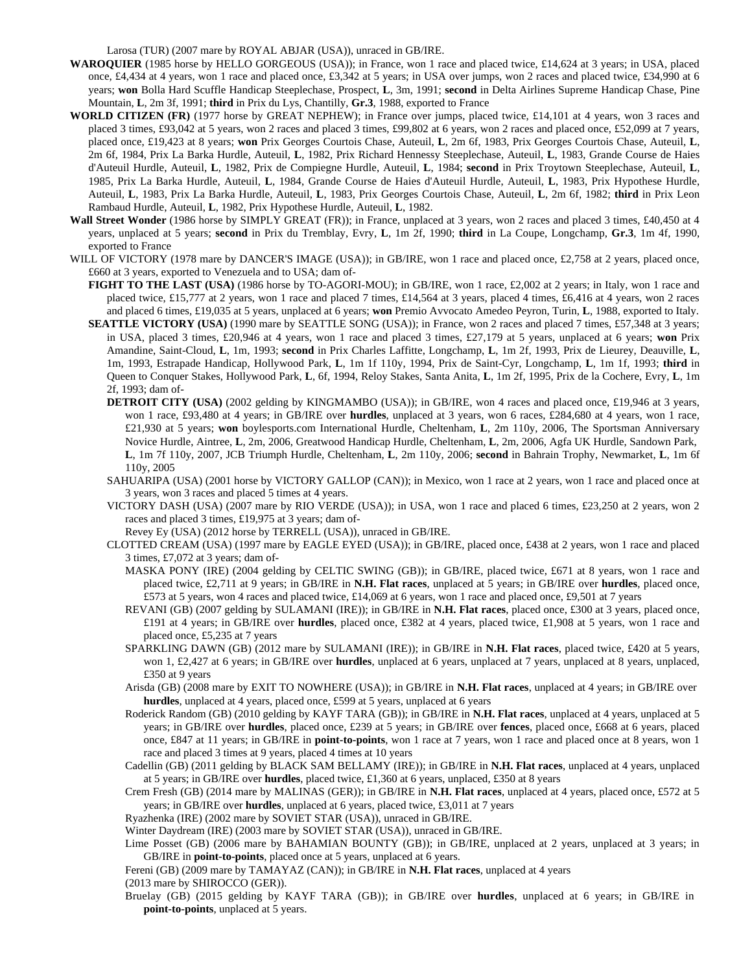Larosa (TUR) (2007 mare by ROYAL ABJAR (USA)), unraced in GB/IRE.

- **WAROQUIER** (1985 horse by HELLO GORGEOUS (USA)); in France, won 1 race and placed twice, £14,624 at 3 years; in USA, placed once, £4,434 at 4 years, won 1 race and placed once, £3,342 at 5 years; in USA over jumps, won 2 races and placed twice, £34,990 at 6 years; **won** Bolla Hard Scuffle Handicap Steeplechase, Prospect, **L**, 3m, 1991; **second** in Delta Airlines Supreme Handicap Chase, Pine Mountain, **L**, 2m 3f, 1991; **third** in Prix du Lys, Chantilly, **Gr.3**, 1988, exported to France
- **WORLD CITIZEN (FR)** (1977 horse by GREAT NEPHEW); in France over jumps, placed twice, £14,101 at 4 years, won 3 races and placed 3 times, £93,042 at 5 years, won 2 races and placed 3 times, £99,802 at 6 years, won 2 races and placed once, £52,099 at 7 years, placed once, £19,423 at 8 years; **won** Prix Georges Courtois Chase, Auteuil, **L**, 2m 6f, 1983, Prix Georges Courtois Chase, Auteuil, **L**, 2m 6f, 1984, Prix La Barka Hurdle, Auteuil, **L**, 1982, Prix Richard Hennessy Steeplechase, Auteuil, **L**, 1983, Grande Course de Haies d'Auteuil Hurdle, Auteuil, **L**, 1982, Prix de Compiegne Hurdle, Auteuil, **L**, 1984; **second** in Prix Troytown Steeplechase, Auteuil, **L**, 1985, Prix La Barka Hurdle, Auteuil, **L**, 1984, Grande Course de Haies d'Auteuil Hurdle, Auteuil, **L**, 1983, Prix Hypothese Hurdle, Auteuil, **L**, 1983, Prix La Barka Hurdle, Auteuil, **L**, 1983, Prix Georges Courtois Chase, Auteuil, **L**, 2m 6f, 1982; **third** in Prix Leon Rambaud Hurdle, Auteuil, **L**, 1982, Prix Hypothese Hurdle, Auteuil, **L**, 1982.
- **Wall Street Wonder** (1986 horse by SIMPLY GREAT (FR)); in France, unplaced at 3 years, won 2 races and placed 3 times, £40,450 at 4 years, unplaced at 5 years; **second** in Prix du Tremblay, Evry, **L**, 1m 2f, 1990; **third** in La Coupe, Longchamp, **Gr.3**, 1m 4f, 1990, exported to France
- WILL OF VICTORY (1978 mare by DANCER'S IMAGE (USA)); in GB/IRE, won 1 race and placed once, £2,758 at 2 years, placed once, £660 at 3 years, exported to Venezuela and to USA; dam of-
	- **FIGHT TO THE LAST (USA)** (1986 horse by TO-AGORI-MOU); in GB/IRE, won 1 race, £2,002 at 2 years; in Italy, won 1 race and placed twice, £15,777 at 2 years, won 1 race and placed 7 times, £14,564 at 3 years, placed 4 times, £6,416 at 4 years, won 2 races and placed 6 times, £19,035 at 5 years, unplaced at 6 years; **won** Premio Avvocato Amedeo Peyron, Turin, **L**, 1988, exported to Italy.
	- **SEATTLE VICTORY (USA)** (1990 mare by SEATTLE SONG (USA)); in France, won 2 races and placed 7 times, £57,348 at 3 years; in USA, placed 3 times, £20,946 at 4 years, won 1 race and placed 3 times, £27,179 at 5 years, unplaced at 6 years; **won** Prix Amandine, Saint-Cloud, **L**, 1m, 1993; **second** in Prix Charles Laffitte, Longchamp, **L**, 1m 2f, 1993, Prix de Lieurey, Deauville, **L**, 1m, 1993, Estrapade Handicap, Hollywood Park, **L**, 1m 1f 110y, 1994, Prix de Saint-Cyr, Longchamp, **L**, 1m 1f, 1993; **third** in Queen to Conquer Stakes, Hollywood Park, **L**, 6f, 1994, Reloy Stakes, Santa Anita, **L**, 1m 2f, 1995, Prix de la Cochere, Evry, **L**, 1m 2f, 1993; dam of-
		- **DETROIT CITY (USA)** (2002 gelding by KINGMAMBO (USA)); in GB/IRE, won 4 races and placed once, £19,946 at 3 years, won 1 race, £93,480 at 4 years; in GB/IRE over **hurdles**, unplaced at 3 years, won 6 races, £284,680 at 4 years, won 1 race, £21,930 at 5 years; **won** boylesports.com International Hurdle, Cheltenham, **L**, 2m 110y, 2006, The Sportsman Anniversary Novice Hurdle, Aintree, **L**, 2m, 2006, Greatwood Handicap Hurdle, Cheltenham, **L**, 2m, 2006, Agfa UK Hurdle, Sandown Park, **L**, 1m 7f 110y, 2007, JCB Triumph Hurdle, Cheltenham, **L**, 2m 110y, 2006; **second** in Bahrain Trophy, Newmarket, **L**, 1m 6f 110y, 2005
		- SAHUARIPA (USA) (2001 horse by VICTORY GALLOP (CAN)); in Mexico, won 1 race at 2 years, won 1 race and placed once at 3 years, won 3 races and placed 5 times at 4 years.
		- VICTORY DASH (USA) (2007 mare by RIO VERDE (USA)); in USA, won 1 race and placed 6 times, £23,250 at 2 years, won 2 races and placed 3 times, £19,975 at 3 years; dam of-
			- Revey Ey (USA) (2012 horse by TERRELL (USA)), unraced in GB/IRE.
		- CLOTTED CREAM (USA) (1997 mare by EAGLE EYED (USA)); in GB/IRE, placed once, £438 at 2 years, won 1 race and placed 3 times, £7,072 at 3 years; dam of-
			- MASKA PONY (IRE) (2004 gelding by CELTIC SWING (GB)); in GB/IRE, placed twice, £671 at 8 years, won 1 race and placed twice, £2,711 at 9 years; in GB/IRE in **N.H. Flat races**, unplaced at 5 years; in GB/IRE over **hurdles**, placed once, £573 at 5 years, won 4 races and placed twice, £14,069 at 6 years, won 1 race and placed once, £9,501 at 7 years
			- REVANI (GB) (2007 gelding by SULAMANI (IRE)); in GB/IRE in **N.H. Flat races**, placed once, £300 at 3 years, placed once, £191 at 4 years; in GB/IRE over **hurdles**, placed once, £382 at 4 years, placed twice, £1,908 at 5 years, won 1 race and placed once, £5,235 at 7 years
			- SPARKLING DAWN (GB) (2012 mare by SULAMANI (IRE)); in GB/IRE in **N.H. Flat races**, placed twice, £420 at 5 years, won 1, £2,427 at 6 years; in GB/IRE over **hurdles**, unplaced at 6 years, unplaced at 7 years, unplaced at 8 years, unplaced, £350 at 9 years
			- Arisda (GB) (2008 mare by EXIT TO NOWHERE (USA)); in GB/IRE in **N.H. Flat races**, unplaced at 4 years; in GB/IRE over **hurdles**, unplaced at 4 years, placed once, £599 at 5 years, unplaced at 6 years
			- Roderick Random (GB) (2010 gelding by KAYF TARA (GB)); in GB/IRE in **N.H. Flat races**, unplaced at 4 years, unplaced at 5 years; in GB/IRE over **hurdles**, placed once, £239 at 5 years; in GB/IRE over **fences**, placed once, £668 at 6 years, placed once, £847 at 11 years; in GB/IRE in **point-to-points**, won 1 race at 7 years, won 1 race and placed once at 8 years, won 1 race and placed 3 times at 9 years, placed 4 times at 10 years
			- Cadellin (GB) (2011 gelding by BLACK SAM BELLAMY (IRE)); in GB/IRE in **N.H. Flat races**, unplaced at 4 years, unplaced at 5 years; in GB/IRE over **hurdles**, placed twice, £1,360 at 6 years, unplaced, £350 at 8 years
			- Crem Fresh (GB) (2014 mare by MALINAS (GER)); in GB/IRE in **N.H. Flat races**, unplaced at 4 years, placed once, £572 at 5 years; in GB/IRE over **hurdles**, unplaced at 6 years, placed twice, £3,011 at 7 years
			- Ryazhenka (IRE) (2002 mare by SOVIET STAR (USA)), unraced in GB/IRE.
			- Winter Daydream (IRE) (2003 mare by SOVIET STAR (USA)), unraced in GB/IRE.
			- Lime Posset (GB) (2006 mare by BAHAMIAN BOUNTY (GB)); in GB/IRE, unplaced at 2 years, unplaced at 3 years; in GB/IRE in **point-to-points**, placed once at 5 years, unplaced at 6 years.

Fereni (GB) (2009 mare by TAMAYAZ (CAN)); in GB/IRE in **N.H. Flat races**, unplaced at 4 years

- (2013 mare by SHIROCCO (GER)).
- Bruelay (GB) (2015 gelding by KAYF TARA (GB)); in GB/IRE over **hurdles**, unplaced at 6 years; in GB/IRE in **point-to-points**, unplaced at 5 years.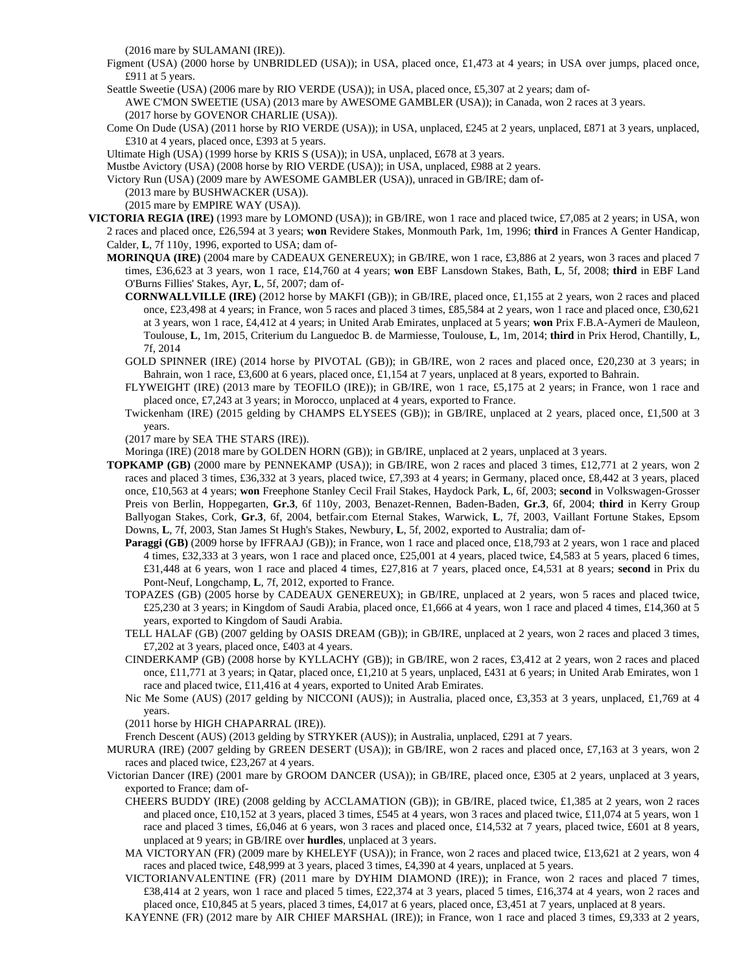(2016 mare by SULAMANI (IRE)).

- Figment (USA) (2000 horse by UNBRIDLED (USA)); in USA, placed once, £1,473 at 4 years; in USA over jumps, placed once, £911 at 5 years.
- Seattle Sweetie (USA) (2006 mare by RIO VERDE (USA)); in USA, placed once, £5,307 at 2 years; dam of-AWE C'MON SWEETIE (USA) (2013 mare by AWESOME GAMBLER (USA)); in Canada, won 2 races at 3 years. (2017 horse by GOVENOR CHARLIE (USA)).
- Come On Dude (USA) (2011 horse by RIO VERDE (USA)); in USA, unplaced, £245 at 2 years, unplaced, £871 at 3 years, unplaced, £310 at 4 years, placed once, £393 at 5 years.
- Ultimate High (USA) (1999 horse by KRIS S (USA)); in USA, unplaced, £678 at 3 years.
- Mustbe Avictory (USA) (2008 horse by RIO VERDE (USA)); in USA, unplaced, £988 at 2 years.
- Victory Run (USA) (2009 mare by AWESOME GAMBLER (USA)), unraced in GB/IRE; dam of-
	- (2013 mare by BUSHWACKER (USA)).
	- (2015 mare by EMPIRE WAY (USA)).
- **VICTORIA REGIA (IRE)** (1993 mare by LOMOND (USA)); in GB/IRE, won 1 race and placed twice, £7,085 at 2 years; in USA, won 2 races and placed once, £26,594 at 3 years; **won** Revidere Stakes, Monmouth Park, 1m, 1996; **third** in Frances A Genter Handicap, Calder, **L**, 7f 110y, 1996, exported to USA; dam of-
	- **MORINQUA (IRE)** (2004 mare by CADEAUX GENEREUX); in GB/IRE, won 1 race, £3,886 at 2 years, won 3 races and placed 7 times, £36,623 at 3 years, won 1 race, £14,760 at 4 years; **won** EBF Lansdown Stakes, Bath, **L**, 5f, 2008; **third** in EBF Land O'Burns Fillies' Stakes, Ayr, **L**, 5f, 2007; dam of-
		- **CORNWALLVILLE (IRE)** (2012 horse by MAKFI (GB)); in GB/IRE, placed once, £1,155 at 2 years, won 2 races and placed once, £23,498 at 4 years; in France, won 5 races and placed 3 times, £85,584 at 2 years, won 1 race and placed once, £30,621 at 3 years, won 1 race, £4,412 at 4 years; in United Arab Emirates, unplaced at 5 years; **won** Prix F.B.A-Aymeri de Mauleon, Toulouse, **L**, 1m, 2015, Criterium du Languedoc B. de Marmiesse, Toulouse, **L**, 1m, 2014; **third** in Prix Herod, Chantilly, **L**, 7f, 2014
		- GOLD SPINNER (IRE) (2014 horse by PIVOTAL (GB)); in GB/IRE, won 2 races and placed once, £20,230 at 3 years; in Bahrain, won 1 race, £3,600 at 6 years, placed once, £1,154 at 7 years, unplaced at 8 years, exported to Bahrain.
		- FLYWEIGHT (IRE) (2013 mare by TEOFILO (IRE)); in GB/IRE, won 1 race, £5,175 at 2 years; in France, won 1 race and placed once, £7,243 at 3 years; in Morocco, unplaced at 4 years, exported to France.
		- Twickenham (IRE) (2015 gelding by CHAMPS ELYSEES (GB)); in GB/IRE, unplaced at 2 years, placed once, £1,500 at 3 years.

(2017 mare by SEA THE STARS (IRE)).

Moringa (IRE) (2018 mare by GOLDEN HORN (GB)); in GB/IRE, unplaced at 2 years, unplaced at 3 years.

- **TOPKAMP (GB)** (2000 mare by PENNEKAMP (USA)); in GB/IRE, won 2 races and placed 3 times, £12,771 at 2 years, won 2 races and placed 3 times, £36,332 at 3 years, placed twice, £7,393 at 4 years; in Germany, placed once, £8,442 at 3 years, placed once, £10,563 at 4 years; **won** Freephone Stanley Cecil Frail Stakes, Haydock Park, **L**, 6f, 2003; **second** in Volkswagen-Grosser Preis von Berlin, Hoppegarten, **Gr.3**, 6f 110y, 2003, Benazet-Rennen, Baden-Baden, **Gr.3**, 6f, 2004; **third** in Kerry Group Ballyogan Stakes, Cork, **Gr.3**, 6f, 2004, betfair.com Eternal Stakes, Warwick, **L**, 7f, 2003, Vaillant Fortune Stakes, Epsom Downs, **L**, 7f, 2003, Stan James St Hugh's Stakes, Newbury, **L**, 5f, 2002, exported to Australia; dam of-
	- **Paraggi (GB)** (2009 horse by IFFRAAJ (GB)); in France, won 1 race and placed once, £18,793 at 2 years, won 1 race and placed 4 times, £32,333 at 3 years, won 1 race and placed once, £25,001 at 4 years, placed twice, £4,583 at 5 years, placed 6 times, £31,448 at 6 years, won 1 race and placed 4 times, £27,816 at 7 years, placed once, £4,531 at 8 years; **second** in Prix du Pont-Neuf, Longchamp, **L**, 7f, 2012, exported to France.
	- TOPAZES (GB) (2005 horse by CADEAUX GENEREUX); in GB/IRE, unplaced at 2 years, won 5 races and placed twice, £25,230 at 3 years; in Kingdom of Saudi Arabia, placed once, £1,666 at 4 years, won 1 race and placed 4 times, £14,360 at 5 years, exported to Kingdom of Saudi Arabia.
	- TELL HALAF (GB) (2007 gelding by OASIS DREAM (GB)); in GB/IRE, unplaced at 2 years, won 2 races and placed 3 times, £7,202 at 3 years, placed once, £403 at 4 years.
	- CINDERKAMP (GB) (2008 horse by KYLLACHY (GB)); in GB/IRE, won 2 races, £3,412 at 2 years, won 2 races and placed once, £11,771 at 3 years; in Qatar, placed once, £1,210 at 5 years, unplaced, £431 at 6 years; in United Arab Emirates, won 1 race and placed twice, £11,416 at 4 years, exported to United Arab Emirates.
	- Nic Me Some (AUS) (2017 gelding by NICCONI (AUS)); in Australia, placed once, £3,353 at 3 years, unplaced, £1,769 at 4 years.

(2011 horse by HIGH CHAPARRAL (IRE)).

French Descent (AUS) (2013 gelding by STRYKER (AUS)); in Australia, unplaced, £291 at 7 years.

- MURURA (IRE) (2007 gelding by GREEN DESERT (USA)); in GB/IRE, won 2 races and placed once, £7,163 at 3 years, won 2 races and placed twice, £23,267 at 4 years.
- Victorian Dancer (IRE) (2001 mare by GROOM DANCER (USA)); in GB/IRE, placed once, £305 at 2 years, unplaced at 3 years, exported to France; dam of-
	- CHEERS BUDDY (IRE) (2008 gelding by ACCLAMATION (GB)); in GB/IRE, placed twice, £1,385 at 2 years, won 2 races and placed once, £10,152 at 3 years, placed 3 times, £545 at 4 years, won 3 races and placed twice, £11,074 at 5 years, won 1 race and placed 3 times, £6,046 at 6 years, won 3 races and placed once, £14,532 at 7 years, placed twice, £601 at 8 years, unplaced at 9 years; in GB/IRE over **hurdles**, unplaced at 3 years.
	- MA VICTORYAN (FR) (2009 mare by KHELEYF (USA)); in France, won 2 races and placed twice, £13,621 at 2 years, won 4 races and placed twice, £48,999 at 3 years, placed 3 times, £4,390 at 4 years, unplaced at 5 years.
	- VICTORIANVALENTINE (FR) (2011 mare by DYHIM DIAMOND (IRE)); in France, won 2 races and placed 7 times, £38,414 at 2 years, won 1 race and placed 5 times, £22,374 at 3 years, placed 5 times, £16,374 at 4 years, won 2 races and placed once, £10,845 at 5 years, placed 3 times, £4,017 at 6 years, placed once, £3,451 at 7 years, unplaced at 8 years.
	- KAYENNE (FR) (2012 mare by AIR CHIEF MARSHAL (IRE)); in France, won 1 race and placed 3 times, £9,333 at 2 years,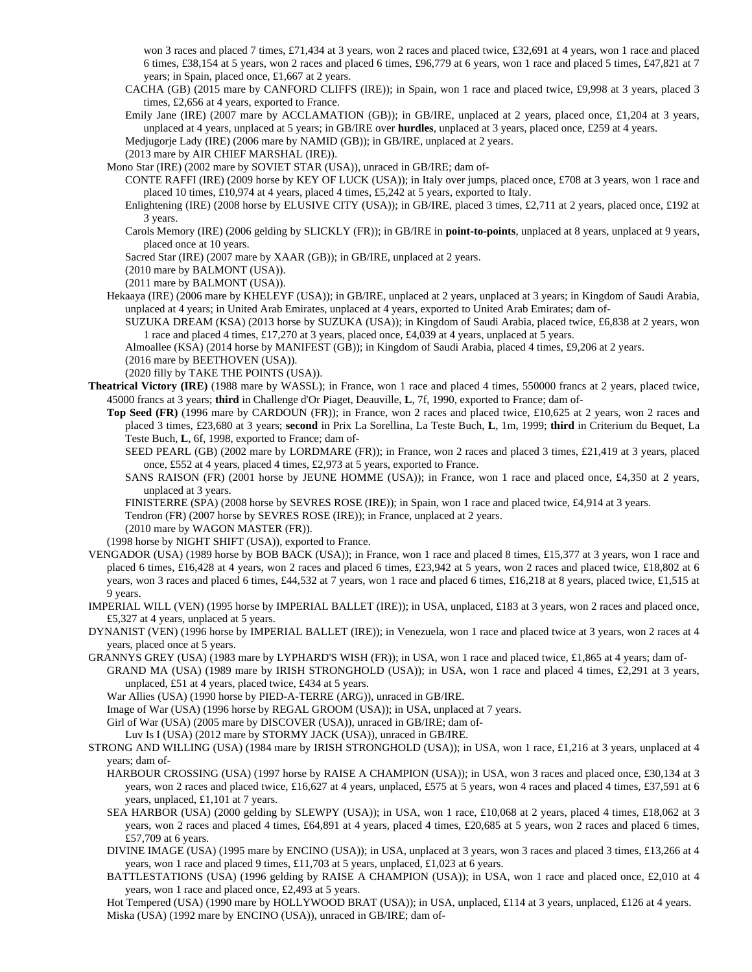won 3 races and placed 7 times, £71,434 at 3 years, won 2 races and placed twice, £32,691 at 4 years, won 1 race and placed 6 times, £38,154 at 5 years, won 2 races and placed 6 times, £96,779 at 6 years, won 1 race and placed 5 times, £47,821 at 7 years; in Spain, placed once, £1,667 at 2 years.

- CACHA (GB) (2015 mare by CANFORD CLIFFS (IRE)); in Spain, won 1 race and placed twice, £9,998 at 3 years, placed 3 times, £2,656 at 4 years, exported to France.
- Emily Jane (IRE) (2007 mare by ACCLAMATION (GB)); in GB/IRE, unplaced at 2 years, placed once, £1,204 at 3 years, unplaced at 4 years, unplaced at 5 years; in GB/IRE over **hurdles**, unplaced at 3 years, placed once, £259 at 4 years.

Medjugorje Lady (IRE) (2006 mare by NAMID (GB)); in GB/IRE, unplaced at 2 years.

(2013 mare by AIR CHIEF MARSHAL (IRE)).

Mono Star (IRE) (2002 mare by SOVIET STAR (USA)), unraced in GB/IRE; dam of-

CONTE RAFFI (IRE) (2009 horse by KEY OF LUCK (USA)); in Italy over jumps, placed once, £708 at 3 years, won 1 race and placed 10 times, £10,974 at 4 years, placed 4 times, £5,242 at 5 years, exported to Italy.

Enlightening (IRE) (2008 horse by ELUSIVE CITY (USA)); in GB/IRE, placed 3 times, £2,711 at 2 years, placed once, £192 at 3 years.

Carols Memory (IRE) (2006 gelding by SLICKLY (FR)); in GB/IRE in **point-to-points**, unplaced at 8 years, unplaced at 9 years, placed once at 10 years.

Sacred Star (IRE) (2007 mare by XAAR (GB)); in GB/IRE, unplaced at 2 years.

(2010 mare by BALMONT (USA)).

(2011 mare by BALMONT (USA)).

Hekaaya (IRE) (2006 mare by KHELEYF (USA)); in GB/IRE, unplaced at 2 years, unplaced at 3 years; in Kingdom of Saudi Arabia, unplaced at 4 years; in United Arab Emirates, unplaced at 4 years, exported to United Arab Emirates; dam of-

SUZUKA DREAM (KSA) (2013 horse by SUZUKA (USA)); in Kingdom of Saudi Arabia, placed twice, £6,838 at 2 years, won 1 race and placed 4 times, £17,270 at 3 years, placed once, £4,039 at 4 years, unplaced at 5 years.

Almoallee (KSA) (2014 horse by MANIFEST (GB)); in Kingdom of Saudi Arabia, placed 4 times, £9,206 at 2 years.

(2016 mare by BEETHOVEN (USA)).

(2020 filly by TAKE THE POINTS (USA)).

- **Theatrical Victory (IRE)** (1988 mare by WASSL); in France, won 1 race and placed 4 times, 550000 francs at 2 years, placed twice, 45000 francs at 3 years; **third** in Challenge d'Or Piaget, Deauville, **L**, 7f, 1990, exported to France; dam of-
	- **Top Seed (FR)** (1996 mare by CARDOUN (FR)); in France, won 2 races and placed twice, £10,625 at 2 years, won 2 races and placed 3 times, £23,680 at 3 years; **second** in Prix La Sorellina, La Teste Buch, **L**, 1m, 1999; **third** in Criterium du Bequet, La Teste Buch, **L**, 6f, 1998, exported to France; dam of-
		- SEED PEARL (GB) (2002 mare by LORDMARE (FR)); in France, won 2 races and placed 3 times, £21,419 at 3 years, placed once, £552 at 4 years, placed 4 times, £2,973 at 5 years, exported to France.
		- SANS RAISON (FR) (2001 horse by JEUNE HOMME (USA)); in France, won 1 race and placed once, £4,350 at 2 years, unplaced at 3 years.
		- FINISTERRE (SPA) (2008 horse by SEVRES ROSE (IRE)); in Spain, won 1 race and placed twice, £4,914 at 3 years.
		- Tendron (FR) (2007 horse by SEVRES ROSE (IRE)); in France, unplaced at 2 years.

(2010 mare by WAGON MASTER (FR)).

(1998 horse by NIGHT SHIFT (USA)), exported to France.

- VENGADOR (USA) (1989 horse by BOB BACK (USA)); in France, won 1 race and placed 8 times, £15,377 at 3 years, won 1 race and placed 6 times, £16,428 at 4 years, won 2 races and placed 6 times, £23,942 at 5 years, won 2 races and placed twice, £18,802 at 6 years, won 3 races and placed 6 times, £44,532 at 7 years, won 1 race and placed 6 times, £16,218 at 8 years, placed twice, £1,515 at 9 years.
- IMPERIAL WILL (VEN) (1995 horse by IMPERIAL BALLET (IRE)); in USA, unplaced, £183 at 3 years, won 2 races and placed once, £5,327 at 4 years, unplaced at 5 years.
- DYNANIST (VEN) (1996 horse by IMPERIAL BALLET (IRE)); in Venezuela, won 1 race and placed twice at 3 years, won 2 races at 4 years, placed once at 5 years.
- GRANNYS GREY (USA) (1983 mare by LYPHARD'S WISH (FR)); in USA, won 1 race and placed twice, £1,865 at 4 years; dam of-
	- GRAND MA (USA) (1989 mare by IRISH STRONGHOLD (USA)); in USA, won 1 race and placed 4 times, £2,291 at 3 years, unplaced, £51 at 4 years, placed twice, £434 at 5 years.
	- War Allies (USA) (1990 horse by PIED-A-TERRE (ARG)), unraced in GB/IRE.

Image of War (USA) (1996 horse by REGAL GROOM (USA)); in USA, unplaced at 7 years.

Girl of War (USA) (2005 mare by DISCOVER (USA)), unraced in GB/IRE; dam of-

Luv Is I (USA) (2012 mare by STORMY JACK (USA)), unraced in GB/IRE.

- STRONG AND WILLING (USA) (1984 mare by IRISH STRONGHOLD (USA)); in USA, won 1 race, £1,216 at 3 years, unplaced at 4 years; dam of-
	- HARBOUR CROSSING (USA) (1997 horse by RAISE A CHAMPION (USA)); in USA, won 3 races and placed once, £30,134 at 3 years, won 2 races and placed twice, £16,627 at 4 years, unplaced, £575 at 5 years, won 4 races and placed 4 times, £37,591 at 6 years, unplaced, £1,101 at 7 years.
	- SEA HARBOR (USA) (2000 gelding by SLEWPY (USA)); in USA, won 1 race, £10,068 at 2 years, placed 4 times, £18,062 at 3 years, won 2 races and placed 4 times, £64,891 at 4 years, placed 4 times, £20,685 at 5 years, won 2 races and placed 6 times, £57,709 at 6 years.
	- DIVINE IMAGE (USA) (1995 mare by ENCINO (USA)); in USA, unplaced at 3 years, won 3 races and placed 3 times, £13,266 at 4 years, won 1 race and placed 9 times, £11,703 at 5 years, unplaced, £1,023 at 6 years.
	- BATTLESTATIONS (USA) (1996 gelding by RAISE A CHAMPION (USA)); in USA, won 1 race and placed once, £2,010 at 4 years, won 1 race and placed once, £2,493 at 5 years.

Hot Tempered (USA) (1990 mare by HOLLYWOOD BRAT (USA)); in USA, unplaced, £114 at 3 years, unplaced, £126 at 4 years. Miska (USA) (1992 mare by ENCINO (USA)), unraced in GB/IRE; dam of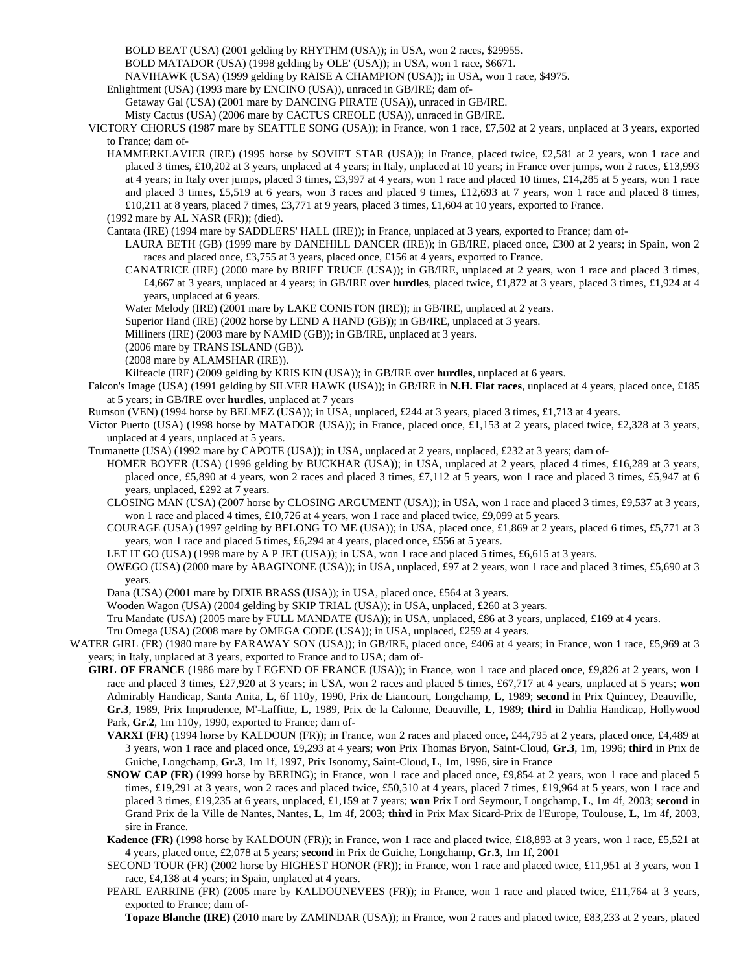BOLD BEAT (USA) (2001 gelding by RHYTHM (USA)); in USA, won 2 races, \$29955.

BOLD MATADOR (USA) (1998 gelding by OLE' (USA)); in USA, won 1 race, \$6671.

NAVIHAWK (USA) (1999 gelding by RAISE A CHAMPION (USA)); in USA, won 1 race, \$4975.

Enlightment (USA) (1993 mare by ENCINO (USA)), unraced in GB/IRE; dam of-

Getaway Gal (USA) (2001 mare by DANCING PIRATE (USA)), unraced in GB/IRE.

Misty Cactus (USA) (2006 mare by CACTUS CREOLE (USA)), unraced in GB/IRE.

VICTORY CHORUS (1987 mare by SEATTLE SONG (USA)); in France, won 1 race, £7,502 at 2 years, unplaced at 3 years, exported to France; dam of-

HAMMERKLAVIER (IRE) (1995 horse by SOVIET STAR (USA)); in France, placed twice, £2,581 at 2 years, won 1 race and placed 3 times, £10,202 at 3 years, unplaced at 4 years; in Italy, unplaced at 10 years; in France over jumps, won 2 races, £13,993 at 4 years; in Italy over jumps, placed 3 times, £3,997 at 4 years, won 1 race and placed 10 times, £14,285 at 5 years, won 1 race and placed 3 times, £5,519 at 6 years, won 3 races and placed 9 times, £12,693 at 7 years, won 1 race and placed 8 times, £10,211 at 8 years, placed 7 times, £3,771 at 9 years, placed 3 times, £1,604 at 10 years, exported to France.

(1992 mare by AL NASR (FR)); (died).

Cantata (IRE) (1994 mare by SADDLERS' HALL (IRE)); in France, unplaced at 3 years, exported to France; dam of-

LAURA BETH (GB) (1999 mare by DANEHILL DANCER (IRE)); in GB/IRE, placed once, £300 at 2 years; in Spain, won 2 races and placed once, £3,755 at 3 years, placed once, £156 at 4 years, exported to France.

CANATRICE (IRE) (2000 mare by BRIEF TRUCE (USA)); in GB/IRE, unplaced at 2 years, won 1 race and placed 3 times, £4,667 at 3 years, unplaced at 4 years; in GB/IRE over **hurdles**, placed twice, £1,872 at 3 years, placed 3 times, £1,924 at 4 years, unplaced at 6 years.

Water Melody (IRE) (2001 mare by LAKE CONISTON (IRE)); in GB/IRE, unplaced at 2 years.

Superior Hand (IRE) (2002 horse by LEND A HAND (GB)); in GB/IRE, unplaced at 3 years.

Milliners (IRE) (2003 mare by NAMID (GB)); in GB/IRE, unplaced at 3 years.

(2006 mare by TRANS ISLAND (GB)).

(2008 mare by ALAMSHAR (IRE)).

Kilfeacle (IRE) (2009 gelding by KRIS KIN (USA)); in GB/IRE over **hurdles**, unplaced at 6 years.

- Falcon's Image (USA) (1991 gelding by SILVER HAWK (USA)); in GB/IRE in **N.H. Flat races**, unplaced at 4 years, placed once, £185 at 5 years; in GB/IRE over **hurdles**, unplaced at 7 years
- Rumson (VEN) (1994 horse by BELMEZ (USA)); in USA, unplaced, £244 at 3 years, placed 3 times, £1,713 at 4 years.
- Victor Puerto (USA) (1998 horse by MATADOR (USA)); in France, placed once, £1,153 at 2 years, placed twice, £2,328 at 3 years, unplaced at 4 years, unplaced at 5 years.
- Trumanette (USA) (1992 mare by CAPOTE (USA)); in USA, unplaced at 2 years, unplaced, £232 at 3 years; dam of-
	- HOMER BOYER (USA) (1996 gelding by BUCKHAR (USA)); in USA, unplaced at 2 years, placed 4 times, £16,289 at 3 years, placed once, £5,890 at 4 years, won 2 races and placed 3 times, £7,112 at 5 years, won 1 race and placed 3 times, £5,947 at 6 years, unplaced, £292 at 7 years.

CLOSING MAN (USA) (2007 horse by CLOSING ARGUMENT (USA)); in USA, won 1 race and placed 3 times, £9,537 at 3 years, won 1 race and placed 4 times, £10,726 at 4 years, won 1 race and placed twice, £9,099 at 5 years.

- COURAGE (USA) (1997 gelding by BELONG TO ME (USA)); in USA, placed once, £1,869 at 2 years, placed 6 times, £5,771 at 3 years, won 1 race and placed 5 times, £6,294 at 4 years, placed once, £556 at 5 years.
- LET IT GO (USA) (1998 mare by A P JET (USA)); in USA, won 1 race and placed 5 times, £6,615 at 3 years.
- OWEGO (USA) (2000 mare by ABAGINONE (USA)); in USA, unplaced, £97 at 2 years, won 1 race and placed 3 times, £5,690 at 3 years.
- Dana (USA) (2001 mare by DIXIE BRASS (USA)); in USA, placed once, £564 at 3 years.

Wooden Wagon (USA) (2004 gelding by SKIP TRIAL (USA)); in USA, unplaced, £260 at 3 years.

Tru Mandate (USA) (2005 mare by FULL MANDATE (USA)); in USA, unplaced, £86 at 3 years, unplaced, £169 at 4 years.

Tru Omega (USA) (2008 mare by OMEGA CODE (USA)); in USA, unplaced, £259 at 4 years.

WATER GIRL (FR) (1980 mare by FARAWAY SON (USA)); in GB/IRE, placed once, £406 at 4 years; in France, won 1 race, £5,969 at 3 years; in Italy, unplaced at 3 years, exported to France and to USA; dam of-

- **GIRL OF FRANCE** (1986 mare by LEGEND OF FRANCE (USA)); in France, won 1 race and placed once, £9,826 at 2 years, won 1 race and placed 3 times, £27,920 at 3 years; in USA, won 2 races and placed 5 times, £67,717 at 4 years, unplaced at 5 years; **won** Admirably Handicap, Santa Anita, **L**, 6f 110y, 1990, Prix de Liancourt, Longchamp, **L**, 1989; **second** in Prix Quincey, Deauville, **Gr.3**, 1989, Prix Imprudence, M'-Laffitte, **L**, 1989, Prix de la Calonne, Deauville, **L**, 1989; **third** in Dahlia Handicap, Hollywood Park, **Gr.2**, 1m 110y, 1990, exported to France; dam of-
	- **VARXI (FR)** (1994 horse by KALDOUN (FR)); in France, won 2 races and placed once, £44,795 at 2 years, placed once, £4,489 at 3 years, won 1 race and placed once, £9,293 at 4 years; **won** Prix Thomas Bryon, Saint-Cloud, **Gr.3**, 1m, 1996; **third** in Prix de Guiche, Longchamp, **Gr.3**, 1m 1f, 1997, Prix Isonomy, Saint-Cloud, **L**, 1m, 1996, sire in France
	- **SNOW CAP (FR)** (1999 horse by BERING); in France, won 1 race and placed once, £9,854 at 2 years, won 1 race and placed 5 times, £19,291 at 3 years, won 2 races and placed twice, £50,510 at 4 years, placed 7 times, £19,964 at 5 years, won 1 race and placed 3 times, £19,235 at 6 years, unplaced, £1,159 at 7 years; **won** Prix Lord Seymour, Longchamp, **L**, 1m 4f, 2003; **second** in Grand Prix de la Ville de Nantes, Nantes, **L**, 1m 4f, 2003; **third** in Prix Max Sicard-Prix de l'Europe, Toulouse, **L**, 1m 4f, 2003, sire in France.
	- **Kadence (FR)** (1998 horse by KALDOUN (FR)); in France, won 1 race and placed twice, £18,893 at 3 years, won 1 race, £5,521 at 4 years, placed once, £2,078 at 5 years; **second** in Prix de Guiche, Longchamp, **Gr.3**, 1m 1f, 2001
	- SECOND TOUR (FR) (2002 horse by HIGHEST HONOR (FR)); in France, won 1 race and placed twice, £11,951 at 3 years, won 1 race, £4,138 at 4 years; in Spain, unplaced at 4 years.

PEARL EARRINE (FR) (2005 mare by KALDOUNEVEES (FR)); in France, won 1 race and placed twice, £11,764 at 3 years, exported to France; dam of-

**Topaze Blanche (IRE)** (2010 mare by ZAMINDAR (USA)); in France, won 2 races and placed twice, £83,233 at 2 years, placed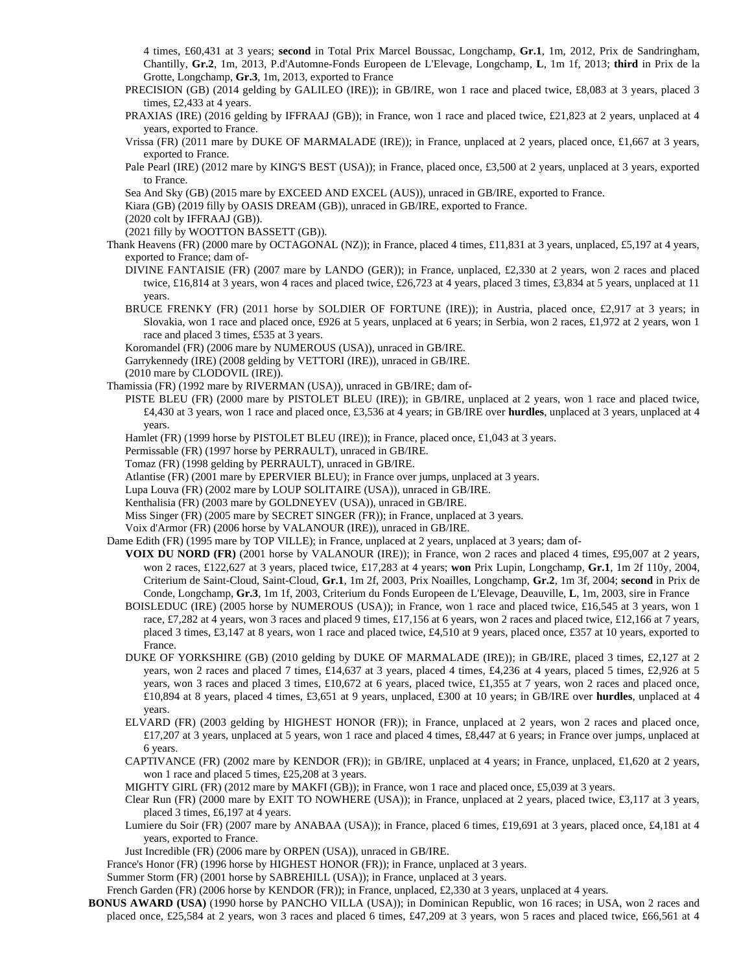4 times, £60,431 at 3 years; **second** in Total Prix Marcel Boussac, Longchamp, **Gr.1**, 1m, 2012, Prix de Sandringham, Chantilly, **Gr.2**, 1m, 2013, P.d'Automne-Fonds Europeen de L'Elevage, Longchamp, **L**, 1m 1f, 2013; **third** in Prix de la Grotte, Longchamp, **Gr.3**, 1m, 2013, exported to France

- PRECISION (GB) (2014 gelding by GALILEO (IRE)); in GB/IRE, won 1 race and placed twice, £8,083 at 3 years, placed 3 times, £2,433 at 4 years.
- PRAXIAS (IRE) (2016 gelding by IFFRAAJ (GB)); in France, won 1 race and placed twice, £21,823 at 2 years, unplaced at 4 years, exported to France.
- Vrissa (FR) (2011 mare by DUKE OF MARMALADE (IRE)); in France, unplaced at 2 years, placed once, £1,667 at 3 years, exported to France.
- Pale Pearl (IRE) (2012 mare by KING'S BEST (USA)); in France, placed once, £3,500 at 2 years, unplaced at 3 years, exported to France.
- Sea And Sky (GB) (2015 mare by EXCEED AND EXCEL (AUS)), unraced in GB/IRE, exported to France.
- Kiara (GB) (2019 filly by OASIS DREAM (GB)), unraced in GB/IRE, exported to France.

(2020 colt by IFFRAAJ (GB)).

(2021 filly by WOOTTON BASSETT (GB)).

- Thank Heavens (FR) (2000 mare by OCTAGONAL (NZ)); in France, placed 4 times, £11,831 at 3 years, unplaced, £5,197 at 4 years, exported to France; dam of-
	- DIVINE FANTAISIE (FR) (2007 mare by LANDO (GER)); in France, unplaced, £2,330 at 2 years, won 2 races and placed twice, £16,814 at 3 years, won 4 races and placed twice, £26,723 at 4 years, placed 3 times, £3,834 at 5 years, unplaced at 11 years.
	- BRUCE FRENKY (FR) (2011 horse by SOLDIER OF FORTUNE (IRE)); in Austria, placed once, £2,917 at 3 years; in Slovakia, won 1 race and placed once, £926 at 5 years, unplaced at 6 years; in Serbia, won 2 races, £1,972 at 2 years, won 1 race and placed 3 times, £535 at 3 years.
	- Koromandel (FR) (2006 mare by NUMEROUS (USA)), unraced in GB/IRE.
	- Garrykennedy (IRE) (2008 gelding by VETTORI (IRE)), unraced in GB/IRE.

(2010 mare by CLODOVIL (IRE)).

- Thamissia (FR) (1992 mare by RIVERMAN (USA)), unraced in GB/IRE; dam of-
	- PISTE BLEU (FR) (2000 mare by PISTOLET BLEU (IRE)); in GB/IRE, unplaced at 2 years, won 1 race and placed twice, £4,430 at 3 years, won 1 race and placed once, £3,536 at 4 years; in GB/IRE over **hurdles**, unplaced at 3 years, unplaced at 4 years.
	- Hamlet (FR) (1999 horse by PISTOLET BLEU (IRE)); in France, placed once, £1,043 at 3 years.
	- Permissable (FR) (1997 horse by PERRAULT), unraced in GB/IRE.
	- Tomaz (FR) (1998 gelding by PERRAULT), unraced in GB/IRE.
	- Atlantise (FR) (2001 mare by EPERVIER BLEU); in France over jumps, unplaced at 3 years.

Lupa Louva (FR) (2002 mare by LOUP SOLITAIRE (USA)), unraced in GB/IRE.

- Kenthalisia (FR) (2003 mare by GOLDNEYEV (USA)), unraced in GB/IRE.
- Miss Singer (FR) (2005 mare by SECRET SINGER (FR)); in France, unplaced at 3 years.
- Voix d'Armor (FR) (2006 horse by VALANOUR (IRE)), unraced in GB/IRE.
- Dame Edith (FR) (1995 mare by TOP VILLE); in France, unplaced at 2 years, unplaced at 3 years; dam of-
	- **VOIX DU NORD (FR)** (2001 horse by VALANOUR (IRE)); in France, won 2 races and placed 4 times, £95,007 at 2 years, won 2 races, £122,627 at 3 years, placed twice, £17,283 at 4 years; **won** Prix Lupin, Longchamp, **Gr.1**, 1m 2f 110y, 2004, Criterium de Saint-Cloud, Saint-Cloud, **Gr.1**, 1m 2f, 2003, Prix Noailles, Longchamp, **Gr.2**, 1m 3f, 2004; **second** in Prix de Conde, Longchamp, **Gr.3**, 1m 1f, 2003, Criterium du Fonds Europeen de L'Elevage, Deauville, **L**, 1m, 2003, sire in France
		- BOISLEDUC (IRE) (2005 horse by NUMEROUS (USA)); in France, won 1 race and placed twice, £16,545 at 3 years, won 1 race, £7,282 at 4 years, won 3 races and placed 9 times, £17,156 at 6 years, won 2 races and placed twice, £12,166 at 7 years, placed 3 times, £3,147 at 8 years, won 1 race and placed twice, £4,510 at 9 years, placed once, £357 at 10 years, exported to France.
		- DUKE OF YORKSHIRE (GB) (2010 gelding by DUKE OF MARMALADE (IRE)); in GB/IRE, placed 3 times, £2,127 at 2 years, won 2 races and placed 7 times, £14,637 at 3 years, placed 4 times, £4,236 at 4 years, placed 5 times, £2,926 at 5 years, won 3 races and placed 3 times, £10,672 at 6 years, placed twice, £1,355 at 7 years, won 2 races and placed once, £10,894 at 8 years, placed 4 times, £3,651 at 9 years, unplaced, £300 at 10 years; in GB/IRE over **hurdles**, unplaced at 4 years.
		- ELVARD (FR) (2003 gelding by HIGHEST HONOR (FR)); in France, unplaced at 2 years, won 2 races and placed once, £17,207 at 3 years, unplaced at 5 years, won 1 race and placed 4 times, £8,447 at 6 years; in France over jumps, unplaced at 6 years.
		- CAPTIVANCE (FR) (2002 mare by KENDOR (FR)); in GB/IRE, unplaced at 4 years; in France, unplaced, £1,620 at 2 years, won 1 race and placed 5 times, £25,208 at 3 years.
		- MIGHTY GIRL (FR) (2012 mare by MAKFI (GB)); in France, won 1 race and placed once, £5,039 at 3 years.
	- Clear Run (FR) (2000 mare by EXIT TO NOWHERE (USA)); in France, unplaced at 2 years, placed twice, £3,117 at 3 years, placed 3 times, £6,197 at 4 years.
	- Lumiere du Soir (FR) (2007 mare by ANABAA (USA)); in France, placed 6 times, £19,691 at 3 years, placed once, £4,181 at 4 years, exported to France.
	- Just Incredible (FR) (2006 mare by ORPEN (USA)), unraced in GB/IRE.
- France's Honor (FR) (1996 horse by HIGHEST HONOR (FR)); in France, unplaced at 3 years.
- Summer Storm (FR) (2001 horse by SABREHILL (USA)); in France, unplaced at 3 years.
- French Garden (FR) (2006 horse by KENDOR (FR)); in France, unplaced, £2,330 at 3 years, unplaced at 4 years.
- **BONUS AWARD (USA)** (1990 horse by PANCHO VILLA (USA)); in Dominican Republic, won 16 races; in USA, won 2 races and placed once, £25,584 at 2 years, won 3 races and placed 6 times, £47,209 at 3 years, won 5 races and placed twice, £66,561 at 4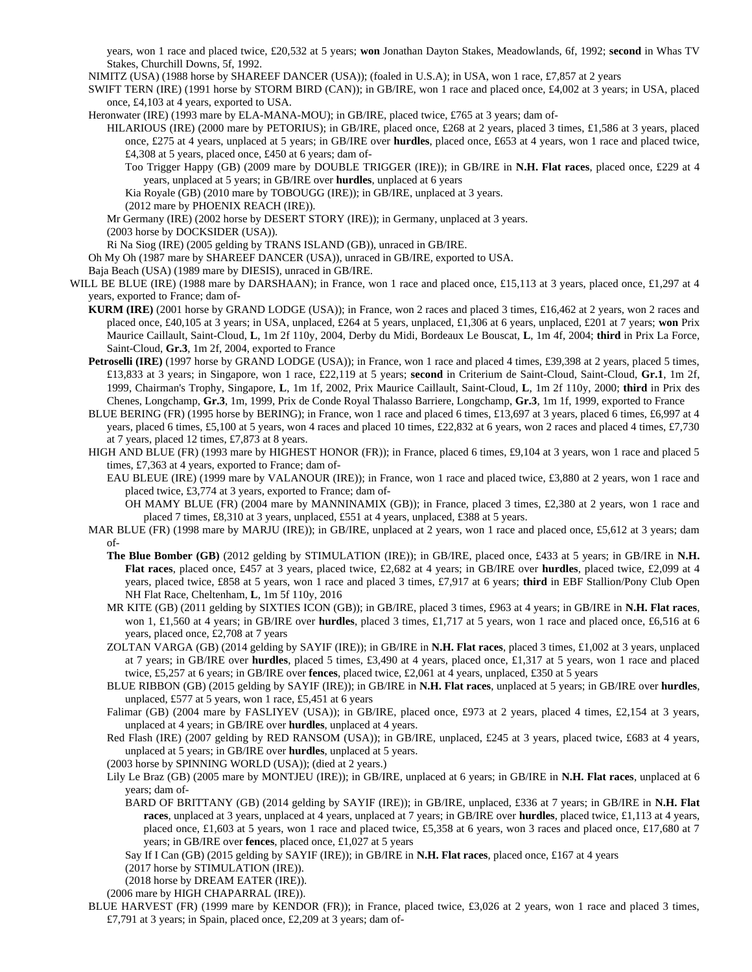years, won 1 race and placed twice, £20,532 at 5 years; **won** Jonathan Dayton Stakes, Meadowlands, 6f, 1992; **second** in Whas TV Stakes, Churchill Downs, 5f, 1992.

NIMITZ (USA) (1988 horse by SHAREEF DANCER (USA)); (foaled in U.S.A); in USA, won 1 race, £7,857 at 2 years

SWIFT TERN (IRE) (1991 horse by STORM BIRD (CAN)); in GB/IRE, won 1 race and placed once, £4,002 at 3 years; in USA, placed once, £4,103 at 4 years, exported to USA.

Heronwater (IRE) (1993 mare by ELA-MANA-MOU); in GB/IRE, placed twice, £765 at 3 years; dam of-

HILARIOUS (IRE) (2000 mare by PETORIUS); in GB/IRE, placed once, £268 at 2 years, placed 3 times, £1,586 at 3 years, placed once, £275 at 4 years, unplaced at 5 years; in GB/IRE over **hurdles**, placed once, £653 at 4 years, won 1 race and placed twice, £4,308 at 5 years, placed once, £450 at 6 years; dam of-

Too Trigger Happy (GB) (2009 mare by DOUBLE TRIGGER (IRE)); in GB/IRE in **N.H. Flat races**, placed once, £229 at 4 years, unplaced at 5 years; in GB/IRE over **hurdles**, unplaced at 6 years

Kia Royale (GB) (2010 mare by TOBOUGG (IRE)); in GB/IRE, unplaced at 3 years.

(2012 mare by PHOENIX REACH (IRE)).

Mr Germany (IRE) (2002 horse by DESERT STORY (IRE)); in Germany, unplaced at 3 years.

(2003 horse by DOCKSIDER (USA)).

Ri Na Siog (IRE) (2005 gelding by TRANS ISLAND (GB)), unraced in GB/IRE.

Oh My Oh (1987 mare by SHAREEF DANCER (USA)), unraced in GB/IRE, exported to USA.

Baja Beach (USA) (1989 mare by DIESIS), unraced in GB/IRE.

WILL BE BLUE (IRE) (1988 mare by DARSHAAN); in France, won 1 race and placed once, £15,113 at 3 years, placed once, £1,297 at 4 years, exported to France; dam of-

- **KURM (IRE)** (2001 horse by GRAND LODGE (USA)); in France, won 2 races and placed 3 times, £16,462 at 2 years, won 2 races and placed once, £40,105 at 3 years; in USA, unplaced, £264 at 5 years, unplaced, £1,306 at 6 years, unplaced, £201 at 7 years; **won** Prix Maurice Caillault, Saint-Cloud, **L**, 1m 2f 110y, 2004, Derby du Midi, Bordeaux Le Bouscat, **L**, 1m 4f, 2004; **third** in Prix La Force, Saint-Cloud, **Gr.3**, 1m 2f, 2004, exported to France
- **Petroselli (IRE)** (1997 horse by GRAND LODGE (USA)); in France, won 1 race and placed 4 times, £39,398 at 2 years, placed 5 times, £13,833 at 3 years; in Singapore, won 1 race, £22,119 at 5 years; **second** in Criterium de Saint-Cloud, Saint-Cloud, **Gr.1**, 1m 2f, 1999, Chairman's Trophy, Singapore, **L**, 1m 1f, 2002, Prix Maurice Caillault, Saint-Cloud, **L**, 1m 2f 110y, 2000; **third** in Prix des Chenes, Longchamp, **Gr.3**, 1m, 1999, Prix de Conde Royal Thalasso Barriere, Longchamp, **Gr.3**, 1m 1f, 1999, exported to France
- BLUE BERING (FR) (1995 horse by BERING); in France, won 1 race and placed 6 times, £13,697 at 3 years, placed 6 times, £6,997 at 4 years, placed 6 times, £5,100 at 5 years, won 4 races and placed 10 times, £22,832 at 6 years, won 2 races and placed 4 times, £7,730 at 7 years, placed 12 times, £7,873 at 8 years.
- HIGH AND BLUE (FR) (1993 mare by HIGHEST HONOR (FR)); in France, placed 6 times, £9,104 at 3 years, won 1 race and placed 5 times, £7,363 at 4 years, exported to France; dam of-
	- EAU BLEUE (IRE) (1999 mare by VALANOUR (IRE)); in France, won 1 race and placed twice, £3,880 at 2 years, won 1 race and placed twice, £3,774 at 3 years, exported to France; dam of-

OH MAMY BLUE (FR) (2004 mare by MANNINAMIX (GB)); in France, placed 3 times, £2,380 at 2 years, won 1 race and placed 7 times, £8,310 at 3 years, unplaced, £551 at 4 years, unplaced, £388 at 5 years.

- MAR BLUE (FR) (1998 mare by MARJU (IRE)); in GB/IRE, unplaced at 2 years, won 1 race and placed once, £5,612 at 3 years; dam of-
	- **The Blue Bomber (GB)** (2012 gelding by STIMULATION (IRE)); in GB/IRE, placed once, £433 at 5 years; in GB/IRE in **N.H. Flat races**, placed once, £457 at 3 years, placed twice, £2,682 at 4 years; in GB/IRE over **hurdles**, placed twice, £2,099 at 4 years, placed twice, £858 at 5 years, won 1 race and placed 3 times, £7,917 at 6 years; **third** in EBF Stallion/Pony Club Open NH Flat Race, Cheltenham, **L**, 1m 5f 110y, 2016
	- MR KITE (GB) (2011 gelding by SIXTIES ICON (GB)); in GB/IRE, placed 3 times, £963 at 4 years; in GB/IRE in **N.H. Flat races**, won 1, £1,560 at 4 years; in GB/IRE over **hurdles**, placed 3 times, £1,717 at 5 years, won 1 race and placed once, £6,516 at 6 years, placed once, £2,708 at 7 years
	- ZOLTAN VARGA (GB) (2014 gelding by SAYIF (IRE)); in GB/IRE in **N.H. Flat races**, placed 3 times, £1,002 at 3 years, unplaced at 7 years; in GB/IRE over **hurdles**, placed 5 times, £3,490 at 4 years, placed once, £1,317 at 5 years, won 1 race and placed twice, £5,257 at 6 years; in GB/IRE over **fences**, placed twice, £2,061 at 4 years, unplaced, £350 at 5 years
	- BLUE RIBBON (GB) (2015 gelding by SAYIF (IRE)); in GB/IRE in **N.H. Flat races**, unplaced at 5 years; in GB/IRE over **hurdles**, unplaced, £577 at 5 years, won 1 race, £5,451 at 6 years
	- Falimar (GB) (2004 mare by FASLIYEV (USA)); in GB/IRE, placed once, £973 at 2 years, placed 4 times, £2,154 at 3 years, unplaced at 4 years; in GB/IRE over **hurdles**, unplaced at 4 years.
	- Red Flash (IRE) (2007 gelding by RED RANSOM (USA)); in GB/IRE, unplaced, £245 at 3 years, placed twice, £683 at 4 years, unplaced at 5 years; in GB/IRE over **hurdles**, unplaced at 5 years.

(2003 horse by SPINNING WORLD (USA)); (died at 2 years.)

- Lily Le Braz (GB) (2005 mare by MONTJEU (IRE)); in GB/IRE, unplaced at 6 years; in GB/IRE in **N.H. Flat races**, unplaced at 6 years; dam of-
	- BARD OF BRITTANY (GB) (2014 gelding by SAYIF (IRE)); in GB/IRE, unplaced, £336 at 7 years; in GB/IRE in **N.H. Flat races**, unplaced at 3 years, unplaced at 4 years, unplaced at 7 years; in GB/IRE over **hurdles**, placed twice, £1,113 at 4 years, placed once, £1,603 at 5 years, won 1 race and placed twice, £5,358 at 6 years, won 3 races and placed once, £17,680 at 7 years; in GB/IRE over **fences**, placed once, £1,027 at 5 years

Say If I Can (GB) (2015 gelding by SAYIF (IRE)); in GB/IRE in **N.H. Flat races**, placed once, £167 at 4 years

(2017 horse by STIMULATION (IRE)).

(2018 horse by DREAM EATER (IRE)).

(2006 mare by HIGH CHAPARRAL (IRE)).

BLUE HARVEST (FR) (1999 mare by KENDOR (FR)); in France, placed twice, £3,026 at 2 years, won 1 race and placed 3 times, £7,791 at 3 years; in Spain, placed once, £2,209 at 3 years; dam of-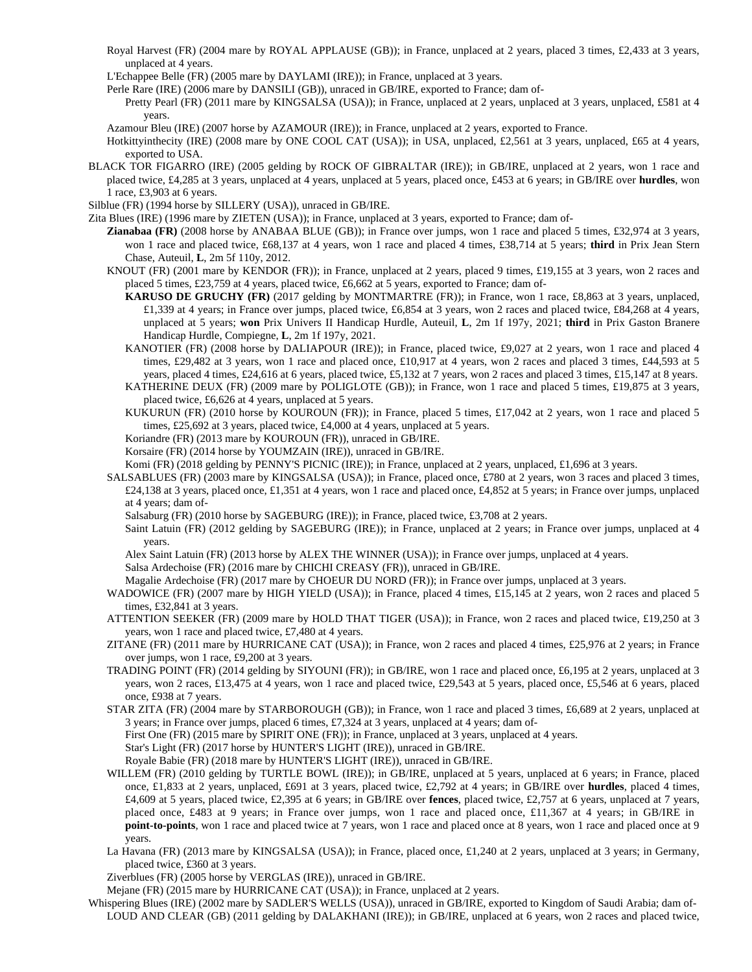- Royal Harvest (FR) (2004 mare by ROYAL APPLAUSE (GB)); in France, unplaced at 2 years, placed 3 times, £2,433 at 3 years, unplaced at 4 years.
- L'Echappee Belle (FR) (2005 mare by DAYLAMI (IRE)); in France, unplaced at 3 years.
- Perle Rare (IRE) (2006 mare by DANSILI (GB)), unraced in GB/IRE, exported to France; dam of-

Pretty Pearl (FR) (2011 mare by KINGSALSA (USA)); in France, unplaced at 2 years, unplaced at 3 years, unplaced, £581 at 4 years.

- Azamour Bleu (IRE) (2007 horse by AZAMOUR (IRE)); in France, unplaced at 2 years, exported to France.
- Hotkittyinthecity (IRE) (2008 mare by ONE COOL CAT (USA)); in USA, unplaced, £2,561 at 3 years, unplaced, £65 at 4 years, exported to USA.
- BLACK TOR FIGARRO (IRE) (2005 gelding by ROCK OF GIBRALTAR (IRE)); in GB/IRE, unplaced at 2 years, won 1 race and placed twice, £4,285 at 3 years, unplaced at 4 years, unplaced at 5 years, placed once, £453 at 6 years; in GB/IRE over **hurdles**, won 1 race, £3,903 at 6 years.
- Silblue (FR) (1994 horse by SILLERY (USA)), unraced in GB/IRE.
- Zita Blues (IRE) (1996 mare by ZIETEN (USA)); in France, unplaced at 3 years, exported to France; dam of-
	- **Zianabaa (FR)** (2008 horse by ANABAA BLUE (GB)); in France over jumps, won 1 race and placed 5 times, £32,974 at 3 years, won 1 race and placed twice, £68,137 at 4 years, won 1 race and placed 4 times, £38,714 at 5 years; **third** in Prix Jean Stern Chase, Auteuil, **L**, 2m 5f 110y, 2012.
	- KNOUT (FR) (2001 mare by KENDOR (FR)); in France, unplaced at 2 years, placed 9 times, £19,155 at 3 years, won 2 races and placed 5 times, £23,759 at 4 years, placed twice, £6,662 at 5 years, exported to France; dam of-
		- **KARUSO DE GRUCHY (FR)** (2017 gelding by MONTMARTRE (FR)); in France, won 1 race, £8,863 at 3 years, unplaced, £1,339 at 4 years; in France over jumps, placed twice, £6,854 at 3 years, won 2 races and placed twice, £84,268 at 4 years, unplaced at 5 years; **won** Prix Univers II Handicap Hurdle, Auteuil, **L**, 2m 1f 197y, 2021; **third** in Prix Gaston Branere Handicap Hurdle, Compiegne, **L**, 2m 1f 197y, 2021.
		- KANOTIER (FR) (2008 horse by DALIAPOUR (IRE)); in France, placed twice, £9,027 at 2 years, won 1 race and placed 4 times, £29,482 at 3 years, won 1 race and placed once, £10,917 at 4 years, won 2 races and placed 3 times, £44,593 at 5 years, placed 4 times, £24,616 at 6 years, placed twice, £5,132 at 7 years, won 2 races and placed 3 times, £15,147 at 8 years.
		- KATHERINE DEUX (FR) (2009 mare by POLIGLOTE (GB)); in France, won 1 race and placed 5 times, £19,875 at 3 years, placed twice, £6,626 at 4 years, unplaced at 5 years.
		- KUKURUN (FR) (2010 horse by KOUROUN (FR)); in France, placed 5 times, £17,042 at 2 years, won 1 race and placed 5 times, £25,692 at 3 years, placed twice, £4,000 at 4 years, unplaced at 5 years.
		- Koriandre (FR) (2013 mare by KOUROUN (FR)), unraced in GB/IRE.
		- Korsaire (FR) (2014 horse by YOUMZAIN (IRE)), unraced in GB/IRE.

Komi (FR) (2018 gelding by PENNY'S PICNIC (IRE)); in France, unplaced at 2 years, unplaced, £1,696 at 3 years.

- SALSABLUES (FR) (2003 mare by KINGSALSA (USA)); in France, placed once, £780 at 2 years, won 3 races and placed 3 times, £24,138 at 3 years, placed once, £1,351 at 4 years, won 1 race and placed once, £4,852 at 5 years; in France over jumps, unplaced
	- at 4 years; dam of-
	- Salsaburg (FR) (2010 horse by SAGEBURG (IRE)); in France, placed twice, £3,708 at 2 years.
	- Saint Latuin (FR) (2012 gelding by SAGEBURG (IRE)); in France, unplaced at 2 years; in France over jumps, unplaced at 4 years.

Alex Saint Latuin (FR) (2013 horse by ALEX THE WINNER (USA)); in France over jumps, unplaced at 4 years. Salsa Ardechoise (FR) (2016 mare by CHICHI CREASY (FR)), unraced in GB/IRE.

Magalie Ardechoise (FR) (2017 mare by CHOEUR DU NORD (FR)); in France over jumps, unplaced at 3 years.

- WADOWICE (FR) (2007 mare by HIGH YIELD (USA)); in France, placed 4 times, £15,145 at 2 years, won 2 races and placed 5 times, £32,841 at 3 years.
- ATTENTION SEEKER (FR) (2009 mare by HOLD THAT TIGER (USA)); in France, won 2 races and placed twice, £19,250 at 3 years, won 1 race and placed twice, £7,480 at 4 years.
- ZITANE (FR) (2011 mare by HURRICANE CAT (USA)); in France, won 2 races and placed 4 times, £25,976 at 2 years; in France over jumps, won 1 race, £9,200 at 3 years.
- TRADING POINT (FR) (2014 gelding by SIYOUNI (FR)); in GB/IRE, won 1 race and placed once, £6,195 at 2 years, unplaced at 3 years, won 2 races, £13,475 at 4 years, won 1 race and placed twice, £29,543 at 5 years, placed once, £5,546 at 6 years, placed once, £938 at 7 years.
- STAR ZITA (FR) (2004 mare by STARBOROUGH (GB)); in France, won 1 race and placed 3 times, £6,689 at 2 years, unplaced at 3 years; in France over jumps, placed 6 times, £7,324 at 3 years, unplaced at 4 years; dam of-

First One (FR) (2015 mare by SPIRIT ONE (FR)); in France, unplaced at 3 years, unplaced at 4 years.

Star's Light (FR) (2017 horse by HUNTER'S LIGHT (IRE)), unraced in GB/IRE.

Royale Babie (FR) (2018 mare by HUNTER'S LIGHT (IRE)), unraced in GB/IRE.

- WILLEM (FR) (2010 gelding by TURTLE BOWL (IRE)); in GB/IRE, unplaced at 5 years, unplaced at 6 years; in France, placed once, £1,833 at 2 years, unplaced, £691 at 3 years, placed twice, £2,792 at 4 years; in GB/IRE over **hurdles**, placed 4 times, £4,609 at 5 years, placed twice, £2,395 at 6 years; in GB/IRE over **fences**, placed twice, £2,757 at 6 years, unplaced at 7 years, placed once, £483 at 9 years; in France over jumps, won 1 race and placed once, £11,367 at 4 years; in GB/IRE in **point-to-points**, won 1 race and placed twice at 7 years, won 1 race and placed once at 8 years, won 1 race and placed once at 9 years.
- La Havana (FR) (2013 mare by KINGSALSA (USA)); in France, placed once, £1,240 at 2 years, unplaced at 3 years; in Germany, placed twice, £360 at 3 years.
- Ziverblues (FR) (2005 horse by VERGLAS (IRE)), unraced in GB/IRE.

Mejane (FR) (2015 mare by HURRICANE CAT (USA)); in France, unplaced at 2 years.

Whispering Blues (IRE) (2002 mare by SADLER'S WELLS (USA)), unraced in GB/IRE, exported to Kingdom of Saudi Arabia; dam of-LOUD AND CLEAR (GB) (2011 gelding by DALAKHANI (IRE)); in GB/IRE, unplaced at 6 years, won 2 races and placed twice,